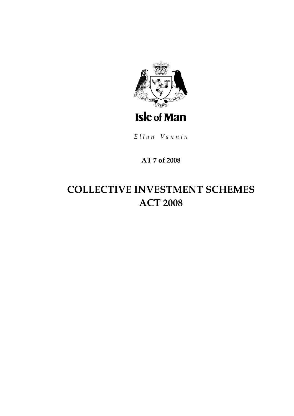

Ellan Vannin

## **AT 7 of 2008**

# **COLLECTIVE INVESTMENT SCHEMES ACT 2008**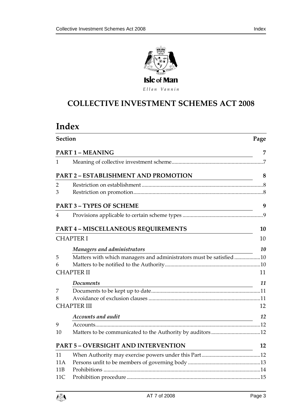



Ellan Vannin

## **COLLECTIVE INVESTMEN T SCHEMES ACT 2008**

## **Index**

| Section        |                                                                                                                                                         | Page |  |
|----------------|---------------------------------------------------------------------------------------------------------------------------------------------------------|------|--|
|                | <b>PART 1 - MEANING</b>                                                                                                                                 | 7    |  |
| 1              |                                                                                                                                                         |      |  |
|                | PART 2 - ESTABLISHMENT AND PROMOTION                                                                                                                    | 8    |  |
| $\overline{2}$ |                                                                                                                                                         |      |  |
| 3              |                                                                                                                                                         |      |  |
|                | <b>PART 3 - TYPES OF SCHEME</b><br><u> 1980 - Johann Barn, mars ann an t-Amhain Aonaich an t-Aonaich an t-Aonaich ann an t-Aonaich ann an t-Aonaich</u> | 9    |  |
| 4              |                                                                                                                                                         |      |  |
|                | PART 4 - MISCELLANEOUS REQUIREMENTS                                                                                                                     | 10   |  |
|                | <b>CHAPTER I</b>                                                                                                                                        | 10   |  |
|                | Managers and administrators                                                                                                                             | 10   |  |
| 5              | Matters with which managers and administrators must be satisfied10                                                                                      |      |  |
| 6              |                                                                                                                                                         |      |  |
|                | <b>CHAPTER II</b>                                                                                                                                       | 11   |  |
|                | Documents                                                                                                                                               | 11   |  |
| 7              |                                                                                                                                                         |      |  |
| 8              |                                                                                                                                                         |      |  |
|                | <b>CHAPTER III</b>                                                                                                                                      | 12   |  |
|                | Accounts and audit<br><u> 1989 - Johann Stoff, deutscher Stoffen und der Stoffen und der Stoffen und der Stoffen und der Stoffen und der</u>            | 12   |  |
| 9              |                                                                                                                                                         |      |  |
| 10             |                                                                                                                                                         |      |  |
|                | <b>PART 5 - OVERSIGHT AND INTERVENTION</b>                                                                                                              | 12   |  |
| 11             |                                                                                                                                                         |      |  |
| 11 A           |                                                                                                                                                         |      |  |
| 11B            |                                                                                                                                                         |      |  |
| 11C            |                                                                                                                                                         |      |  |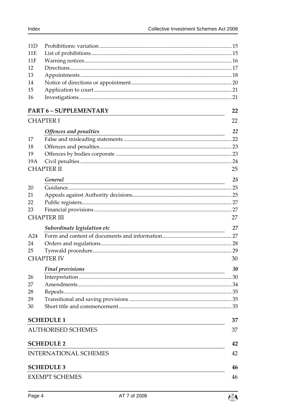| 11D |                               |    |
|-----|-------------------------------|----|
| 11E |                               |    |
| 11F |                               |    |
| 12  |                               |    |
| 13  |                               |    |
| 14  |                               |    |
| 15  |                               |    |
| 16  |                               |    |
|     | <b>PART 6 - SUPPLEMENTARY</b> | 22 |
|     | <b>CHAPTER I</b>              | 22 |
|     | Offences and penalties        | 22 |
| 17  |                               |    |
| 18  |                               |    |
| 19  |                               |    |
| 19A |                               |    |
|     | <b>CHAPTER II</b>             | 25 |
|     | General                       | 25 |
| 20  |                               |    |
| 21  |                               |    |
| 22  |                               |    |
| 23  |                               |    |
|     | <b>CHAPTER III</b>            | 27 |
|     | Subordinate legislation etc   | 27 |
| A24 |                               |    |
| 24  |                               |    |
| 25  |                               |    |
|     | <b>CHAPTER IV</b>             | 30 |
|     | <b>Final provisions</b>       | 30 |
| 26  |                               |    |
| 27  |                               |    |
| 28  |                               |    |
| 29  |                               |    |
| 30  |                               |    |
|     | <b>SCHEDULE 1</b>             | 37 |
|     | <b>AUTHORISED SCHEMES</b>     | 37 |
|     | <b>SCHEDULE 2</b>             | 42 |
|     | <b>INTERNATIONAL SCHEMES</b>  | 42 |
|     |                               |    |
|     | <b>SCHEDULE 3</b>             | 46 |
|     | <b>EXEMPT SCHEMES</b>         | 46 |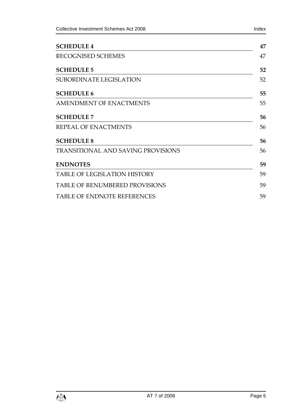| Collective Investment Schemes Act 2008 | Index |
|----------------------------------------|-------|
| <b>SCHEDULE 4</b>                      | 47    |
| RECOGNISED SCHEMES                     | 47    |

| <b>SCHEDULE 5</b>                         | 52 |
|-------------------------------------------|----|
| <b>SUBORDINATE LEGISLATION</b>            | 52 |
| <b>SCHEDULE 6</b>                         | 55 |
| <b>AMENDMENT OF ENACTMENTS</b>            | 55 |
| <b>SCHEDULE 7</b>                         | 56 |
| <b>REPEAL OF ENACTMENTS</b>               | 56 |
| <b>SCHEDULE 8</b>                         | 56 |
| <b>TRANSITIONAL AND SAVING PROVISIONS</b> | 56 |
| <b>ENDNOTES</b>                           | 59 |
| <b>TABLE OF LEGISLATION HISTORY</b>       | 59 |
| <b>TABLE OF RENUMBERED PROVISIONS</b>     | 59 |
| <b>TABLE OF ENDNOTE REFERENCES</b>        | 59 |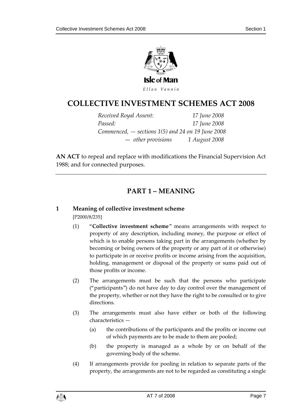

**COLLECTIVE INVESTMEN T SCHEMES ACT 2008**

| Received Royal Assent:                              | 17 June 2008  |
|-----------------------------------------------------|---------------|
| Passed:                                             | 17 June 2008  |
| Commenced, $-$ sections 1(5) and 24 on 19 June 2008 |               |
| $-$ other provisions                                | 1 August 2008 |

**AN ACT** to repeal and replace with modifications the Financial Supervision Act 1988; and for connected purposes.

## **PART 1 – MEANING**

## <span id="page-6-1"></span><span id="page-6-0"></span>**1 Meaning of collective investment scheme**

[P2000/8/235]

- (1) "**Collective investment scheme**" means arrangements with respect to property of any description, including money, the purpose or effect of which is to enable persons taking part in the arrangements (whether by becoming or being owners of the property or any part of it or otherwise) to participate in or receive profits or income arising from the acquisition, holding, management or disposal of the property or sums paid out of those profits or income.
- (2) The arrangements must be such that the persons who participate ("participants") do not have day to day control over the management of the property, whether or not they have the right to be consulted or to give directions.
- (3) The arrangements must also have either or both of the following characteristics —
	- (a) the contributions of the participants and the profits or income out of which payments are to be made to them are pooled;
	- (b) the property is managed as a whole by or on behalf of the governing body of the scheme.
- (4) If arrangements provide for pooling in relation to separate parts of the property, the arrangements are not to be regarded as constituting a single

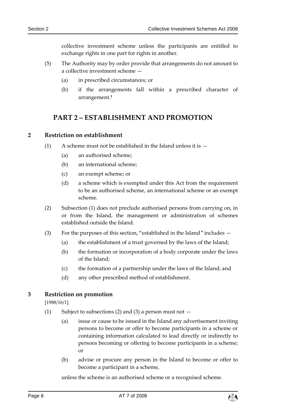collective investment scheme unless the participants are entitled to exchange rights in one part for rights in another.

- (5) The Authority may by order provide that arrangements do not amount to a collective investment scheme —
	- (a) in prescribed circumstances; or
	- (b) if the arrangements fall within a prescribed character of arrangement.**<sup>1</sup>**

## <span id="page-7-0"></span>**PART 2 – ESTABLISHMENT AND PROMOTION**

#### <span id="page-7-1"></span>**2 Restriction on establishment**

- (1) A scheme must not be established in the Island unless it is  $-$ 
	- (a) an authorised scheme;
	- (b) an international scheme;
	- (c) an exempt scheme; or
	- (d) a scheme which is exempted under this Act from the requirement to be an authorised scheme, an international scheme or an exempt scheme.
- (2) Subsection (1) does not preclude authorised persons from carrying on, in or from the Island, the management or administration of schemes established outside the Island.
- (3) For the purposes of this section, "established in the Island" includes
	- (a) the establishment of a trust governed by the laws of the Island;
	- (b) the formation or incorporation of a body corporate under the laws of the Island;
	- (c) the formation of a partnership under the laws of the Island; and
	- (d) any other prescribed method of establishment.

#### <span id="page-7-2"></span>**3 Restriction on promotion**

[1988/16/1]

- (1) Subject to subsections (2) and (3) a person must not  $-$ 
	- (a) issue or cause to be issued in the Island any advertisement inviting persons to become or offer to become participants in a scheme or containing information calculated to lead directly or indirectly to persons becoming or offering to become participants in a scheme; or
	- (b) advise or procure any person in the Island to become or offer to become a participant in a scheme,

unless the scheme is an authorised scheme or a recognised scheme.

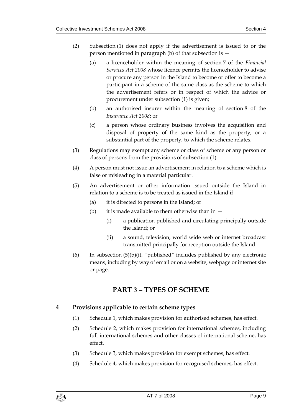- (2) Subsection (1) does not apply if the advertisement is issued to or the person mentioned in paragraph (b) of that subsection is —
	- (a) a licenceholder within the meaning of section 7 of the *Financial Services Act 2008* whose licence permits the licenceholder to advise or procure any person in the Island to become or offer to become a participant in a scheme of the same class as the scheme to which the advertisement refers or in respect of which the advice or procurement under subsection (1) is given;
	- (b) an authorised insurer within the meaning of section 8 of the *Insurance Act 2008*; or
	- (c) a person whose ordinary business involves the acquisition and disposal of property of the same kind as the property, or a substantial part of the property, to which the scheme relates.
- (3) Regulations may exempt any scheme or class of scheme or any person or class of persons from the provisions of subsection (1).
- (4) A person must not issue an advertisement in relation to a scheme which is false or misleading in a material particular.
- (5) An advertisement or other information issued outside the Island in relation to a scheme is to be treated as issued in the Island if —
	- (a) it is directed to persons in the Island; or
	- (b) it is made available to them otherwise than in  $-$ 
		- (i) a publication published and circulating principally outside the Island; or
		- (ii) a sound, television, world wide web or internet broadcast transmitted principally for reception outside the Island.
- <span id="page-8-0"></span>(6) In subsection  $(5)(b)(i)$ , "published" includes published by any electronic means, including by way of email or on a website, webpage or internet site or page.

## **PART 3 – TYPES OF SCHEME**

#### <span id="page-8-1"></span>**4 Provisions applicable to certain scheme types**

- (1) Schedule 1, which makes provision for authorised schemes, has effect.
- (2) Schedule 2, which makes provision for international schemes, including full international schemes and other classes of international scheme, has effect.
- (3) Schedule 3, which makes provision for exempt schemes, has effect.
- (4) Schedule 4, which makes provision for recognised schemes, has effect.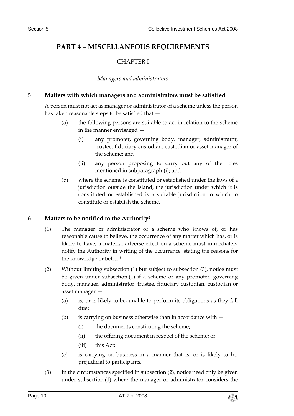## <span id="page-9-1"></span><span id="page-9-0"></span>**PART 4 – MISCELLANEOUS REQUIREMENTS**

## CHAPTER I

#### *Managers and administrators*

#### <span id="page-9-3"></span><span id="page-9-2"></span>**5 Matters with which managers and administrators must be satisfied**

A person must not act as manager or administrator of a scheme unless the person has taken reasonable steps to be satisfied that —

- (a) the following persons are suitable to act in relation to the scheme in the manner envisaged —
	- (i) any promoter, governing body, manager, administrator, trustee, fiduciary custodian, custodian or asset manager of the scheme; and
	- (ii) any person proposing to carry out any of the roles mentioned in subparagraph (i); and
- (b) where the scheme is constituted or established under the laws of a jurisdiction outside the Island, the jurisdiction under which it is constituted or established is a suitable jurisdiction in which to constitute or establish the scheme.

#### <span id="page-9-4"></span>**6 Matters to be notified to the Authority**<sup>2</sup>

- (1) The manager or administrator of a scheme who knows of, or has reasonable cause to believe, the occurrence of any matter which has, or is likely to have, a material adverse effect on a scheme must immediately notify the Authority in writing of the occurrence, stating the reasons for the knowledge or belief.**<sup>3</sup>**
- (2) Without limiting subsection (1) but subject to subsection (3), notice must be given under subsection (1) if a scheme or any promoter, governing body, manager, administrator, trustee, fiduciary custodian, custodian or asset manager —
	- (a) is, or is likely to be, unable to perform its obligations as they fall due;
	- (b) is carrying on business otherwise than in accordance with  $-$ 
		- (i) the documents constituting the scheme;
		- (ii) the offering document in respect of the scheme; or
		- (iii) this Act;
	- (c) is carrying on business in a manner that is, or is likely to be, prejudicial to participants.
- (3) In the circumstances specified in subsection (2), notice need only be given under subsection (1) where the manager or administrator considers the

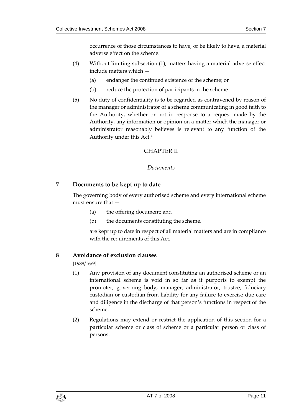occurrence of those circumstances to have, or be likely to have, a material adverse effect on the scheme.

- (4) Without limiting subsection (1), matters having a material adverse effect include matters which —
	- (a) endanger the continued existence of the scheme; or
	- (b) reduce the protection of participants in the scheme.
- (5) No duty of confidentiality is to be regarded as contravened by reason of the manager or administrator of a scheme communicating in good faith to the Authority, whether or not in response to a request made by the Authority, any information or opinion on a matter which the manager or administrator reasonably believes is relevant to any function of the Authority under this Act.**<sup>4</sup>**

#### CHAPTER II

#### *Documents*

#### <span id="page-10-2"></span><span id="page-10-1"></span><span id="page-10-0"></span>**7 Documents to be kept up to date**

The governing body of every authorised scheme and every international scheme must ensure that —

- (a) the offering document; and
- (b) the documents constituting the scheme,

are kept up to date in respect of all material matters and are in compliance with the requirements of this Act.

#### <span id="page-10-3"></span>**8 Avoidance of exclusion clauses**

[1988/16/9]

- (1) Any provision of any document constituting an authorised scheme or an international scheme is void in so far as it purports to exempt the promoter, governing body, manager, administrator, trustee, fiduciary custodian or custodian from liability for any failure to exercise due care and diligence in the discharge of that person's functions in respect of the scheme.
- (2) Regulations may extend or restrict the application of this section for a particular scheme or class of scheme or a particular person or class of persons.

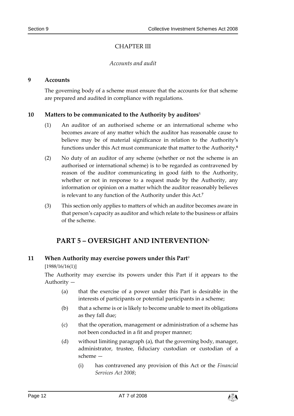#### CHAPTER III

#### *Accounts and audit*

#### <span id="page-11-2"></span><span id="page-11-1"></span><span id="page-11-0"></span>**9 Accounts**

The governing body of a scheme must ensure that the accounts for that scheme are prepared and audited in compliance with regulations.

#### <span id="page-11-3"></span>**10 Matters to be communicated to the Authority by auditors**<sup>5</sup>

- (1) An auditor of an authorised scheme or an international scheme who becomes aware of any matter which the auditor has reasonable cause to believe may be of material significance in relation to the Authority's functions under this Act must communicate that matter to the Authority. **6**
- (2) No duty of an auditor of any scheme (whether or not the scheme is an authorised or international scheme) is to be regarded as contravened by reason of the auditor communicating in good faith to the Authority, whether or not in response to a request made by the Authority, any information or opinion on a matter which the auditor reasonably believes is relevant to any function of the Authority under this Act.**<sup>7</sup>**
- <span id="page-11-4"></span>(3) This section only applies to matters of which an auditor becomes aware in that person's capacity as auditor and which relate to the business or affairs of the scheme.

## **PART 5 – OVERSIGHT AND INTERVENTION**<sup>8</sup>

#### <span id="page-11-5"></span>**11 When Authority may exercise powers under this Part**<sup>9</sup>

[1988/16/16(1)]

The Authority may exercise its powers under this Part if it appears to the Authority —

- (a) that the exercise of a power under this Part is desirable in the interests of participants or potential participants in a scheme;
- (b) that a scheme is or is likely to become unable to meet its obligations as they fall due;
- (c) that the operation, management or administration of a scheme has not been conducted in a fit and proper manner;
- (d) without limiting paragraph (a), that the governing body, manager, administrator, trustee, fiduciary custodian or custodian of a scheme —
	- (i) has contravened any provision of this Act or the *Financial Services Act 2008*;

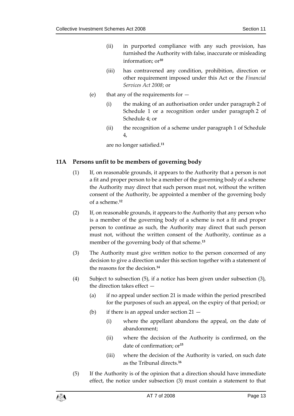- (ii) in purported compliance with any such provision, has furnished the Authority with false, inaccurate or misleading information; or**<sup>10</sup>**
- (iii) has contravened any condition, prohibition, direction or other requirement imposed under this Act or the *Financial Services Act 2008*; or
- (e) that any of the requirements for
	- (i) the making of an authorisation order under paragraph 2 of Schedule 1 or a recognition order under paragraph 2 of Schedule 4; or
	- (ii) the recognition of a scheme under paragraph 1 of Schedule 4,

are no longer satisfied.**<sup>11</sup>**

#### <span id="page-12-0"></span>**11A Persons unfit to be members of governing body**

- (1) If, on reasonable grounds, it appears to the Authority that a person is not a fit and proper person to be a member of the governing body of a scheme the Authority may direct that such person must not, without the written consent of the Authority, be appointed a member of the governing body of a scheme.**<sup>12</sup>**
- (2) If, on reasonable grounds, it appears to the Authority that any person who is a member of the governing body of a scheme is not a fit and proper person to continue as such, the Authority may direct that such person must not, without the written consent of the Authority, continue as a member of the governing body of that scheme.**<sup>13</sup>**
- (3) The Authority must give written notice to the person concerned of any decision to give a direction under this section together with a statement of the reasons for the decision.**<sup>14</sup>**
- (4) Subject to subsection (5), if a notice has been given under subsection (3), the direction takes effect —
	- (a) if no appeal under section 21 is made within the period prescribed for the purposes of such an appeal, on the expiry of that period; or
	- (b) if there is an appeal under section  $21 -$ 
		- (i) where the appellant abandons the appeal, on the date of abandonment;
		- (ii) where the decision of the Authority is confirmed, on the date of confirmation; or**<sup>15</sup>**
		- (iii) where the decision of the Authority is varied, on such date as the Tribunal directs.**<sup>16</sup>**
- (5) If the Authority is of the opinion that a direction should have immediate effect, the notice under subsection (3) must contain a statement to that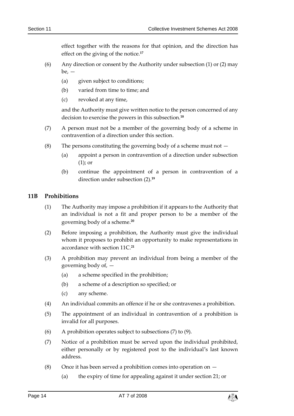effect together with the reasons for that opinion, and the direction has effect on the giving of the notice.**<sup>17</sup>**

- (6) Any direction or consent by the Authority under subsection (1) or (2) may  $be.$   $-$ 
	- (a) given subject to conditions;
	- (b) varied from time to time; and
	- (c) revoked at any time,

and the Authority must give written notice to the person concerned of any decision to exercise the powers in this subsection.**<sup>18</sup>**

- (7) A person must not be a member of the governing body of a scheme in contravention of a direction under this section.
- (8) The persons constituting the governing body of a scheme must not  $-$ 
	- (a) appoint a person in contravention of a direction under subsection (1); or
	- (b) continue the appointment of a person in contravention of a direction under subsection (2).**<sup>19</sup>**

#### <span id="page-13-0"></span>**11B Prohibitions**

- (1) The Authority may impose a prohibition if it appears to the Authority that an individual is not a fit and proper person to be a member of the governing body of a scheme.**<sup>20</sup>**
- (2) Before imposing a prohibition, the Authority must give the individual whom it proposes to prohibit an opportunity to make representations in accordance with section 11C.**<sup>21</sup>**
- (3) A prohibition may prevent an individual from being a member of the governing body of, —
	- (a) a scheme specified in the prohibition;
	- (b) a scheme of a description so specified; or
	- (c) any scheme.
- (4) An individual commits an offence if he or she contravenes a prohibition.
- (5) The appointment of an individual in contravention of a prohibition is invalid for all purposes.
- (6) A prohibition operates subject to subsections (7) to (9).
- (7) Notice of a prohibition must be served upon the individual prohibited, either personally or by registered post to the individual's last known address.
- (8) Once it has been served a prohibition comes into operation on  $-$ 
	- (a) the expiry of time for appealing against it under section 21; or

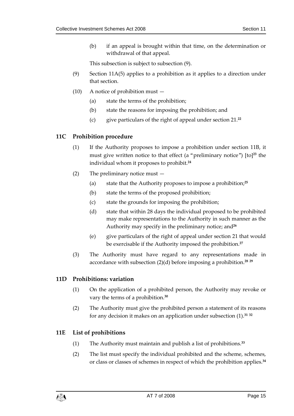(b) if an appeal is brought within that time, on the determination or withdrawal of that appeal.

This subsection is subject to subsection (9).

- (9) Section 11A(5) applies to a prohibition as it applies to a direction under that section.
- (10) A notice of prohibition must
	- (a) state the terms of the prohibition;
	- (b) state the reasons for imposing the prohibition; and
	- (c) give particulars of the right of appeal under section 21.**<sup>22</sup>**

#### <span id="page-14-0"></span>**11C Prohibition procedure**

- (1) If the Authority proposes to impose a prohibition under section 11B, it must give written notice to that effect (a "preliminary notice") [to]**<sup>23</sup>** the individual whom it proposes to prohibit.**<sup>24</sup>**
- (2) The preliminary notice must
	- (a) state that the Authority proposes to impose a prohibition;**<sup>25</sup>**
	- (b) state the terms of the proposed prohibition;
	- (c) state the grounds for imposing the prohibition;
	- (d) state that within 28 days the individual proposed to be prohibited may make representations to the Authority in such manner as the Authority may specify in the preliminary notice; and**<sup>26</sup>**
	- (e) give particulars of the right of appeal under section 21 that would be exercisable if the Authority imposed the prohibition.**<sup>27</sup>**
- (3) The Authority must have regard to any representations made in accordance with subsection (2)(d) before imposing a prohibition.**<sup>28</sup> <sup>29</sup>**

#### <span id="page-14-1"></span>**11D Prohibitions: variation**

- (1) On the application of a prohibited person, the Authority may revoke or vary the terms of a prohibition.**<sup>30</sup>**
- (2) The Authority must give the prohibited person a statement of its reasons for any decision it makes on an application under subsection (1).**<sup>31</sup> <sup>32</sup>**

#### <span id="page-14-2"></span>**11E List of prohibitions**

- (1) The Authority must maintain and publish a list of prohibitions.**<sup>33</sup>**
- (2) The list must specify the individual prohibited and the scheme, schemes, or class or classes of schemes in respect of which the prohibition applies.**34**

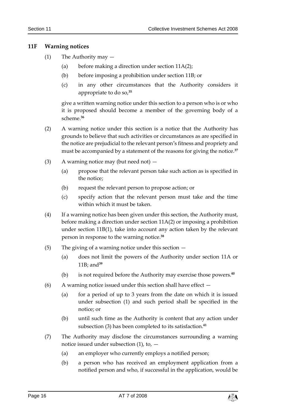#### <span id="page-15-0"></span>**11F Warning notices**

- (1) The Authority may
	- (a) before making a direction under section 11A(2);
	- (b) before imposing a prohibition under section 11B; or
	- (c) in any other circumstances that the Authority considers it appropriate to do so,**<sup>35</sup>**

give a written warning notice under this section to a person who is or who it is proposed should become a member of the governing body of a scheme.**<sup>36</sup>**

- (2) A warning notice under this section is a notice that the Authority has grounds to believe that such activities or circumstances as are specified in the notice are prejudicial to the relevant person's fitness and propriety and must be accompanied by a statement of the reasons for giving the notice.**<sup>37</sup>**
- (3) A warning notice may (but need not)
	- (a) propose that the relevant person take such action as is specified in the notice;
	- (b) request the relevant person to propose action; or
	- (c) specify action that the relevant person must take and the time within which it must be taken.
- (4) If a warning notice has been given under this section, the Authority must, before making a direction under section 11A(2) or imposing a prohibition under section 11B(1), take into account any action taken by the relevant person in response to the warning notice.**<sup>38</sup>**
- (5) The giving of a warning notice under this section
	- (a) does not limit the powers of the Authority under section 11A or 11B; and**<sup>39</sup>**
	- (b) is not required before the Authority may exercise those powers.**<sup>40</sup>**
- (6) A warning notice issued under this section shall have effect  $-$ 
	- (a) for a period of up to 3 years from the date on which it is issued under subsection (1) and such period shall be specified in the notice; or
	- (b) until such time as the Authority is content that any action under subsection (3) has been completed to its satisfaction.**<sup>41</sup>**
- (7) The Authority may disclose the circumstances surrounding a warning notice issued under subsection  $(1)$ , to,  $-$ 
	- (a) an employer who currently employs a notified person;
	- (b) a person who has received an employment application from a notified person and who, if successful in the application, would be

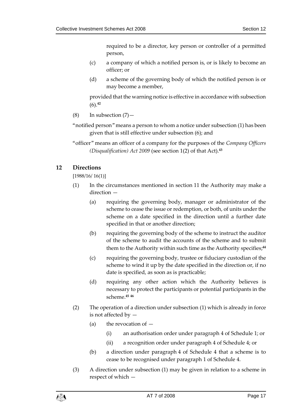required to be a director, key person or controller of a permitted person,

- (c) a company of which a notified person is, or is likely to become an officer; or
- (d) a scheme of the governing body of which the notified person is or may become a member,

provided that the warning notice is effective in accordance with subsection (6).**<sup>42</sup>**

- $(8)$  In subsection  $(7)$  —
- "notified person" means a person to whom a notice under subsection (1) has been given that is still effective under subsection (6); and
- "officer" means an officer of a company for the purposes of the *Company Officers (Disqualification) Act 2009* (see section 1(2) of that Act).**<sup>43</sup>**

#### <span id="page-16-0"></span>**12 Directions**

[1988/16/ 16(1)]

- (1) In the circumstances mentioned in section 11 the Authority may make a direction —
	- (a) requiring the governing body, manager or administrator of the scheme to cease the issue or redemption, or both, of units under the scheme on a date specified in the direction until a further date specified in that or another direction;
	- (b) requiring the governing body of the scheme to instruct the auditor of the scheme to audit the accounts of the scheme and to submit them to the Authority within such time as the Authority specifies;**<sup>44</sup>**
	- (c) requiring the governing body, trustee or fiduciary custodian of the scheme to wind it up by the date specified in the direction or, if no date is specified, as soon as is practicable;
	- (d) requiring any other action which the Authority believes is necessary to protect the participants or potential participants in the scheme.**<sup>45</sup> <sup>46</sup>**
- (2) The operation of a direction under subsection (1) which is already in force is not affected by —
	- (a) the revocation of  $-$ 
		- (i) an authorisation order under paragraph 4 of Schedule 1; or
		- (ii) a recognition order under paragraph 4 of Schedule 4; or
	- (b) a direction under paragraph 4 of Schedule 4 that a scheme is to cease to be recognised under paragraph 1 of Schedule 4.
- (3) A direction under subsection (1) may be given in relation to a scheme in respect of which —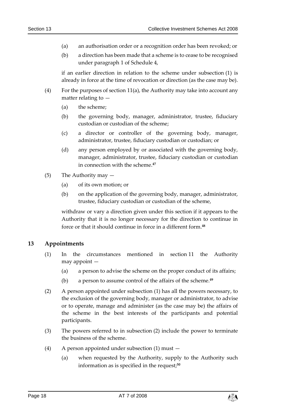- (a) an authorisation order or a recognition order has been revoked; or
- (b) a direction has been made that a scheme is to cease to be recognised under paragraph 1 of Schedule 4,

if an earlier direction in relation to the scheme under subsection (1) is already in force at the time of revocation or direction (as the case may be).

- (4) For the purposes of section 11(a), the Authority may take into account any matter relating to —
	- (a) the scheme;
	- (b) the governing body, manager, administrator, trustee, fiduciary custodian or custodian of the scheme;
	- (c) a director or controller of the governing body, manager, administrator, trustee, fiduciary custodian or custodian; or
	- (d) any person employed by or associated with the governing body, manager, administrator, trustee, fiduciary custodian or custodian in connection with the scheme.**<sup>47</sup>**
- (5) The Authority may
	- (a) of its own motion; or
	- (b) on the application of the governing body, manager, administrator, trustee, fiduciary custodian or custodian of the scheme,

withdraw or vary a direction given under this section if it appears to the Authority that it is no longer necessary for the direction to continue in force or that it should continue in force in a different form.**<sup>48</sup>**

#### <span id="page-17-0"></span>**13 Appointments**

- (1) In the circumstances mentioned in section 11 the Authority may appoint —
	- (a) a person to advise the scheme on the proper conduct of its affairs;
	- (b) a person to assume control of the affairs of the scheme.**<sup>49</sup>**
- (2) A person appointed under subsection (1) has all the powers necessary, to the exclusion of the governing body, manager or administrator, to advise or to operate, manage and administer (as the case may be) the affairs of the scheme in the best interests of the participants and potential participants.
- (3) The powers referred to in subsection (2) include the power to terminate the business of the scheme.
- (4) A person appointed under subsection (1) must
	- (a) when requested by the Authority, supply to the Authority such information as is specified in the request;**50**

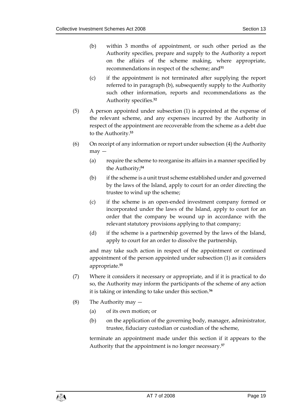- (b) within 3 months of appointment, or such other period as the Authority specifies, prepare and supply to the Authority a report on the affairs of the scheme making, where appropriate, recommendations in respect of the scheme; and**<sup>51</sup>**
- (c) if the appointment is not terminated after supplying the report referred to in paragraph (b), subsequently supply to the Authority such other information, reports and recommendations as the Authority specifies.**<sup>52</sup>**
- (5) A person appointed under subsection (1) is appointed at the expense of the relevant scheme, and any expenses incurred by the Authority in respect of the appointment are recoverable from the scheme as a debt due to the Authority. **53**
- (6) On receipt of any information or report under subsection (4) the Authority may —
	- (a) require the scheme to reorganise its affairs in a manner specified by the Authority; **54**
	- (b) if the scheme is a unit trust scheme established under and governed by the laws of the Island, apply to court for an order directing the trustee to wind up the scheme;
	- (c) if the scheme is an open-ended investment company formed or incorporated under the laws of the Island, apply to court for an order that the company be wound up in accordance with the relevant statutory provisions applying to that company;
	- (d) if the scheme is a partnership governed by the laws of the Island, apply to court for an order to dissolve the partnership,

and may take such action in respect of the appointment or continued appointment of the person appointed under subsection (1) as it considers appropriate.**<sup>55</sup>**

- (7) Where it considers it necessary or appropriate, and if it is practical to do so, the Authority may inform the participants of the scheme of any action it is taking or intending to take under this section.**<sup>56</sup>**
- (8) The Authority may
	- (a) of its own motion; or
	- (b) on the application of the governing body, manager, administrator, trustee, fiduciary custodian or custodian of the scheme,

terminate an appointment made under this section if it appears to the Authority that the appointment is no longer necessary.**<sup>57</sup>**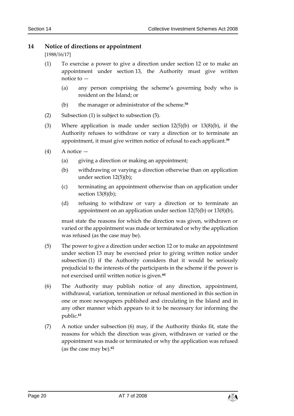#### <span id="page-19-0"></span>**14 Notice of directions or appointment**

[1988/16/17]

- (1) To exercise a power to give a direction under section 12 or to make an appointment under section 13, the Authority must give written notice to —
	- (a) any person comprising the scheme's governing body who is resident on the Island; or
	- (b) the manager or administrator of the scheme.**<sup>58</sup>**
- (2) Subsection (1) is subject to subsection (5).
- (3) Where application is made under section 12(5)(b) or 13(8)(b), if the Authority refuses to withdraw or vary a direction or to terminate an appointment, it must give written notice of refusal to each applicant.**<sup>59</sup>**
- (4) A notice
	- (a) giving a direction or making an appointment;
	- (b) withdrawing or varying a direction otherwise than on application under section 12(5)(b);
	- (c) terminating an appointment otherwise than on application under section 13(8)(b):
	- (d) refusing to withdraw or vary a direction or to terminate an appointment on an application under section 12(5)(b) or 13(8)(b),

must state the reasons for which the direction was given, withdrawn or varied or the appointment was made or terminated or why the application was refused (as the case may be).

- (5) The power to give a direction under section 12 or to make an appointment under section 13 may be exercised prior to giving written notice under subsection (1) if the Authority considers that it would be seriously prejudicial to the interests of the participants in the scheme if the power is not exercised until written notice is given.**<sup>60</sup>**
- (6) The Authority may publish notice of any direction, appointment, withdrawal, variation, termination or refusal mentioned in this section in one or more newspapers published and circulating in the Island and in any other manner which appears to it to be necessary for informing the public.**<sup>61</sup>**
- (7) A notice under subsection (6) may, if the Authority thinks fit, state the reasons for which the direction was given, withdrawn or varied or the appointment was made or terminated or why the application was refused (as the case may be).**62**

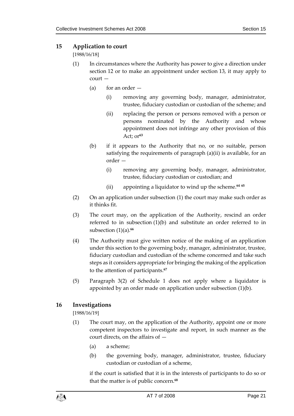#### <span id="page-20-0"></span>**15 Application to court**

#### [1988/16/18]

- (1) In circumstances where the Authority has power to give a direction under section 12 or to make an appointment under section 13, it may apply to court —
	- (a) for an order  $-$ 
		- (i) removing any governing body, manager, administrator, trustee, fiduciary custodian or custodian of the scheme; and
		- (ii) replacing the person or persons removed with a person or persons nominated by the Authority and whose appointment does not infringe any other provision of this Act; or**<sup>63</sup>**
	- (b) if it appears to the Authority that no, or no suitable, person satisfying the requirements of paragraph (a)(ii) is available, for an order —
		- (i) removing any governing body, manager, administrator, trustee, fiduciary custodian or custodian; and
		- (ii) appointing a liquidator to wind up the scheme.**<sup>64</sup> <sup>65</sup>**
- (2) On an application under subsection (1) the court may make such order as it thinks fit.
- (3) The court may, on the application of the Authority, rescind an order referred to in subsection (1)(b) and substitute an order referred to in subsection (1)(a).**<sup>66</sup>**
- (4) The Authority must give written notice of the making of an application under this section to the governing body, manager, administrator, trustee, fiduciary custodian and custodian of the scheme concerned and take such steps as it considers appropriate for bringing the making of the application to the attention of participants.**<sup>67</sup>**
- (5) Paragraph 3(2) of Schedule 1 does not apply where a liquidator is appointed by an order made on application under subsection (1)(b).

#### <span id="page-20-1"></span>**16 Investigations**

[1988/16/19]

- (1) The court may, on the application of the Authority, appoint one or more competent inspectors to investigate and report, in such manner as the court directs, on the affairs of —
	- (a) a scheme;
	- (b) the governing body, manager, administrator, trustee, fiduciary custodian or custodian of a scheme,

if the court is satisfied that it is in the interests of participants to do so or that the matter is of public concern.**68**

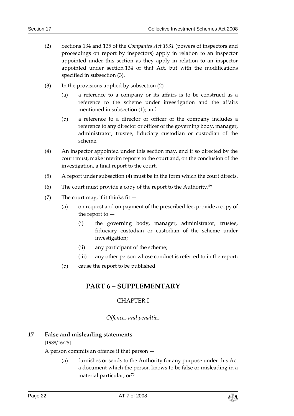- (2) Sections 134 and 135 of the *Companies Act 1931* (powers of inspectors and proceedings on report by inspectors) apply in relation to an inspector appointed under this section as they apply in relation to an inspector appointed under section 134 of that Act, but with the modifications specified in subsection (3).
- (3) In the provisions applied by subsection  $(2)$ 
	- (a) a reference to a company or its affairs is to be construed as a reference to the scheme under investigation and the affairs mentioned in subsection (1); and
	- (b) a reference to a director or officer of the company includes a reference to any director or officer of the governing body, manager, administrator, trustee, fiduciary custodian or custodian of the scheme.
- (4) An inspector appointed under this section may, and if so directed by the court must, make interim reports to the court and, on the conclusion of the investigation, a final report to the court.
- (5) A report under subsection (4) must be in the form which the court directs.
- (6) The court must provide a copy of the report to the Authority. **69**
- (7) The court may, if it thinks fit  $-$ 
	- (a) on request and on payment of the prescribed fee, provide a copy of the report to —
		- (i) the governing body, manager, administrator, trustee, fiduciary custodian or custodian of the scheme under investigation;
		- (ii) any participant of the scheme;
		- (iii) any other person whose conduct is referred to in the report;
	- (b) cause the report to be published.

## <span id="page-21-0"></span>**PART 6 – SUPPLEMENTARY**

#### CHAPTER I

#### *Offences and penalties*

#### <span id="page-21-3"></span><span id="page-21-2"></span><span id="page-21-1"></span>**17 False and misleading statements**

#### [1988/16/25]

A person commits an offence if that person —

(a) furnishes or sends to the Authority for any purpose under this Act a document which the person knows to be false or misleading in a material particular; or**70**

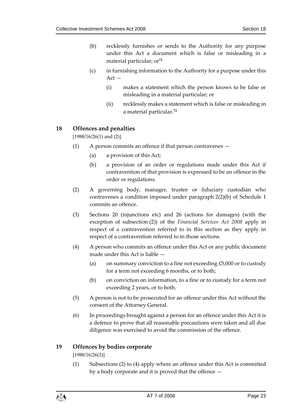- (b) recklessly furnishes or sends to the Authority for any purpose under this Act a document which is false or misleading in a material particular; or**<sup>71</sup>**
- (c) in furnishing information to the Authority for a purpose under this  $Act -$ 
	- (i) makes a statement which the person knows to be false or misleading in a material particular; or
	- (ii) recklessly makes a statement which is false or misleading in a material particular.**<sup>72</sup>**

#### <span id="page-22-0"></span>**18 Offences and penalties**

 $[1988/16/26(1)$  and  $(2)]$ 

- (1) A person commits an offence if that person contravenes
	- (a) a provision of this Act;
	- (b) a provision of an order or regulations made under this Act if contravention of that provision is expressed to be an offence in the order or regulations.
- (2) A governing body, manager, trustee or fiduciary custodian who contravenes a condition imposed under paragraph 2(2)(b) of Schedule 1 commits an offence.
- (3) Sections 20 (injunctions etc) and 26 (actions for damages) (with the exception of subsection (2)) of the *Financial Services Act 2008* apply in respect of a contravention referred to in this section as they apply in respect of a contravention referred to in those sections.
- (4) A person who commits an offence under this Act or any public document made under this Act is liable —
	- (a) on summary conviction to a fine not exceeding  $£5,000$  or to custody for a term not exceeding 6 months, or to both;
	- (b) on conviction on information, to a fine or to custody for a term not exceeding 2 years, or to both.
- (5) A person is not to be prosecuted for an offence under this Act without the consent of the Attorney General.
- (6) In proceedings brought against a person for an offence under this Act it is a defence to prove that all reasonable precautions were taken and all due diligence was exercised to avoid the commission of the offence.

#### <span id="page-22-1"></span>**19 Offences by bodies corporate**

[1988/16/26(3)]

(1) Subsections (2) to (4) apply where an offence under this Act is committed by a body corporate and it is proved that the offence —

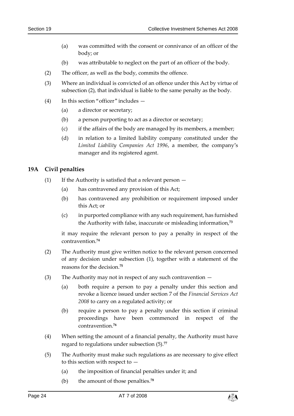- (a) was committed with the consent or connivance of an officer of the body; or
- (b) was attributable to neglect on the part of an officer of the body.
- (2) The officer, as well as the body, commits the offence.
- (3) Where an individual is convicted of an offence under this Act by virtue of subsection (2), that individual is liable to the same penalty as the body.
- (4) In this section "officer" includes
	- (a) a director or secretary;
	- (b) a person purporting to act as a director or secretary;
	- (c) if the affairs of the body are managed by its members, a member;
	- (d) in relation to a limited liability company constituted under the *Limited Liability Companies Act 1996*, a member, the company's manager and its registered agent.

#### <span id="page-23-0"></span>**19A Civil penalties**

- (1) If the Authority is satisfied that a relevant person  $-$ 
	- (a) has contravened any provision of this Act;
	- (b) has contravened any prohibition or requirement imposed under this Act; or
	- (c) in purported compliance with any such requirement, has furnished the Authority with false, inaccurate or misleading information,**<sup>73</sup>**

it may require the relevant person to pay a penalty in respect of the contravention.**<sup>74</sup>**

- (2) The Authority must give written notice to the relevant person concerned of any decision under subsection (1), together with a statement of the reasons for the decision.**<sup>75</sup>**
- (3) The Authority may not in respect of any such contravention
	- (a) both require a person to pay a penalty under this section and revoke a licence issued under section 7 of the *Financial Services Act 2008* to carry on a regulated activity; or
	- (b) require a person to pay a penalty under this section if criminal proceedings have been commenced in respect of the contravention.**<sup>76</sup>**
- (4) When setting the amount of a financial penalty, the Authority must have regard to regulations under subsection (5).**<sup>77</sup>**
- (5) The Authority must make such regulations as are necessary to give effect to this section with respect to  $-$ 
	- (a) the imposition of financial penalties under it; and
	- (b) the amount of those penalties.**<sup>78</sup>**

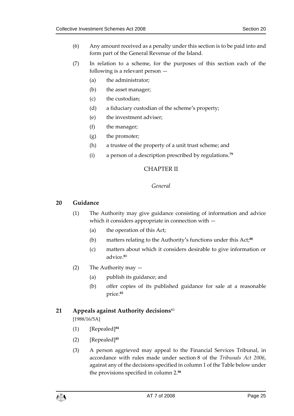- (6) Any amount received as a penalty under this section is to be paid into and form part of the General Revenue of the Island.
- (7) In relation to a scheme, for the purposes of this section each of the following is a relevant person —
	- (a) the administrator;
	- (b) the asset manager;
	- (c) the custodian;
	- (d) a fiduciary custodian of the scheme's property;
	- (e) the investment adviser;
	- (f) the manager;
	- (g) the promoter;
	- (h) a trustee of the property of a unit trust scheme; and
	- (i) a person of a description prescribed by regulations.**<sup>79</sup>**

#### CHAPTER II

#### *General*

#### <span id="page-24-2"></span><span id="page-24-1"></span><span id="page-24-0"></span>**20 Guidance**

- (1) The Authority may give guidance consisting of information and advice which it considers appropriate in connection with —
	- (a) the operation of this Act;
	- (b) matters relating to the Authority's functions under this Act;**<sup>80</sup>**
	- (c) matters about which it considers desirable to give information or advice.**<sup>81</sup>**
- (2) The Authority may
	- (a) publish its guidance; and
	- (b) offer copies of its published guidance for sale at a reasonable price.**<sup>82</sup>**

#### <span id="page-24-3"></span>**21 Appeals against Authority decisions**<sup>83</sup>

[1988/16/5A]

- (1) [Repealed]**<sup>84</sup>**
- (2) [Repealed]**<sup>85</sup>**
- (3) A person aggrieved may appeal to the Financial Services Tribunal, in accordance with rules made under section 8 of the *Tribunals Act 2006*, against any of the decisions specified in column 1 of the Table below under the provisions specified in column 2.**86**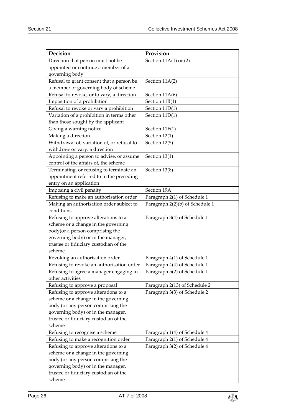| Decision                                   | Provision                       |
|--------------------------------------------|---------------------------------|
| Direction that person must not be          | Section $11A(1)$ or $(2)$       |
| appointed or continue a member of a        |                                 |
| governing body                             |                                 |
| Refusal to grant consent that a person be  | Section 11A(2)                  |
| a member of governing body of scheme       |                                 |
| Refusal to revoke, or to vary, a direction | Section 11A(6)                  |
| Imposition of a prohibition                | Section 11B(1)                  |
| Refusal to revoke or vary a prohibition    | Section 11D(1)                  |
| Variation of a prohibition in terms other  | Section 11D(1)                  |
| than those sought by the applicant         |                                 |
| Giving a warning notice                    | Section 11F(1)                  |
| Making a direction                         | Section 12(1)                   |
| Withdrawal of, variation of, or refusal to | Section 12(5)                   |
| withdraw or vary. a direction              |                                 |
| Appointing a person to advise, or assume   | Section 13(1)                   |
| control of the affairs of, the scheme      |                                 |
| Terminating, or refusing to terminate an   | Section 13(8)                   |
| appointment referred to in the preceding   |                                 |
| entry on an application                    |                                 |
| Imposing a civil penalty                   | Section 19A                     |
| Refusing to make an authorisation order    | Paragraph 2(1) of Schedule 1    |
| Making an authorisation order subject to   | Paragraph 2(2)(b) of Schedule 1 |
| conditions                                 |                                 |
| Refusing to approve alterations to a       | Paragraph 3(4) of Schedule 1    |
| scheme or a change in the governing        |                                 |
| body(or a person comprising the            |                                 |
| governing body) or in the manager,         |                                 |
| trustee or fiduciary custodian of the      |                                 |
| scheme                                     |                                 |
| Revoking an authorisation order            | Paragraph 4(1) of Schedule 1    |
| Refusing to revoke an authorisation order  | Paragraph 4(4) of Schedule 1    |
| Refusing to agree a manager engaging in    | Paragraph 5(2) of Schedule 1    |
| other activities                           |                                 |
| Refusing to approve a proposal             | Paragraph 2(13) of Schedule 2   |
| Refusing to approve alterations to a       | Paragraph 3(3) of Schedule 2    |
| scheme or a change in the governing        |                                 |
| body (or any person comprising the         |                                 |
| governing body) or in the manager,         |                                 |
| trustee or fiduciary custodian of the      |                                 |
| scheme                                     |                                 |
| Refusing to recognise a scheme             | Paragraph 1(4) of Schedule 4    |
| Refusing to make a recognition order       | Paragraph 2(1) of Schedule 4    |
| Refusing to approve alterations to a       | Paragraph 3(2) of Schedule 4    |
| scheme or a change in the governing        |                                 |
| body (or any person comprising the         |                                 |
| governing body) or in the manager,         |                                 |
| trustee or fiduciary custodian of the      |                                 |
| scheme                                     |                                 |

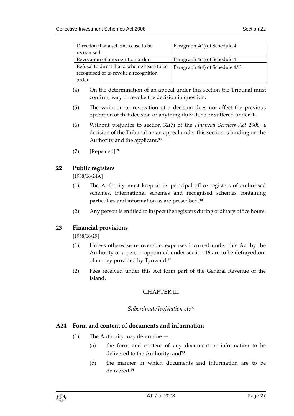| Direction that a scheme cease to be         | Paragraph 4(1) of Schedule 4    |
|---------------------------------------------|---------------------------------|
| recognised                                  |                                 |
| Revocation of a recognition order           | Paragraph 4(1) of Schedule 4    |
| Refusal to direct that a scheme cease to be | Paragraph 4(4) of Schedule 4.87 |
| recognised or to revoke a recognition       |                                 |
| order                                       |                                 |

- (4) On the determination of an appeal under this section the Tribunal must confirm, vary or revoke the decision in question.
- (5) The variation or revocation of a decision does not affect the previous operation of that decision or anything duly done or suffered under it.
- (6) Without prejudice to section 32(7) of the *Financial Services Act 2008*, a decision of the Tribunal on an appeal under this section is binding on the Authority and the applicant.**<sup>88</sup>**
- (7) [Repealed]**<sup>89</sup>**

#### <span id="page-26-0"></span>**22 Public registers**

[1988/16/24A]

- (1) The Authority must keep at its principal office registers of authorised schemes, international schemes and recognised schemes containing particulars and information as are prescribed.**<sup>90</sup>**
- (2) Any person is entitled to inspect the registers during ordinary office hours.

#### <span id="page-26-1"></span>**23 Financial provisions**

[1988/16/29]

- (1) Unless otherwise recoverable, expenses incurred under this Act by the Authority or a person appointed under section 16 are to be defrayed out of money provided by Tynwald.**<sup>91</sup>**
- <span id="page-26-2"></span>(2) Fees received under this Act form part of the General Revenue of the Island.

#### CHAPTER III

#### *Subordinate legislation etc***<sup>92</sup>**

#### <span id="page-26-4"></span><span id="page-26-3"></span>**A24 Form and content of documents and information**

- (1) The Authority may determine
	- (a) the form and content of any document or information to be delivered to the Authority; and**<sup>93</sup>**
	- (b) the manner in which documents and information are to be delivered.**94**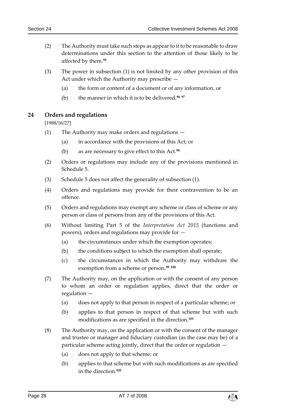- (2) The Authority must take such steps as appear to it to be reasonable to draw determinations under this section to the attention of those likely to be affected by them.**<sup>95</sup>**
- (3) The power in subsection (1) is not limited by any other provision of this Act under which the Authority may prescribe —
	- (a) the form or content of a document or of any information, or
	- (b) the manner in which it is to be delivered.**<sup>96</sup> <sup>97</sup>**

#### <span id="page-27-0"></span>**24 Orders and regulations**

[1988/16/27]

- (1) The Authority may make orders and regulations
	- (a) in accordance with the provisions of this Act; or
	- (b) as are necessary to give effect to this Act.**<sup>98</sup>**
- (2) Orders or regulations may include any of the provisions mentioned in Schedule 5.
- (3) Schedule 5 does not affect the generality of subsection (1).
- (4) Orders and regulations may provide for their contravention to be an offence.
- (5) Orders and regulations may exempt any scheme or class of scheme or any person or class of persons from any of the provisions of this Act.
- (6) Without limiting Part 5 of the *Interpretation Act 2015* (functions and powers), orders and regulations may provide for —
	- (a) the circumstances under which the exemption operates;
	- (b) the conditions subject to which the exemption shall operate;
	- (c) the circumstances in which the Authority may withdraw the exemption from a scheme or person.**<sup>99</sup> <sup>100</sup>**
- (7) The Authority may, on the application or with the consent of any person to whom an order or regulation applies, direct that the order or regulation —
	- (a) does not apply to that person in respect of a particular scheme; or
	- (b) applies to that person in respect of that scheme but with such modifications as are specified in the direction.**<sup>101</sup>**
- (8) The Authority may, on the application or with the consent of the manager and trustee or manager and fiduciary custodian (as the case may be) of a particular scheme acting jointly, direct that the order or regulation —
	- (a) does not apply to that scheme; or
	- (b) applies to that scheme but with such modifications as are specified in the direction.**102**

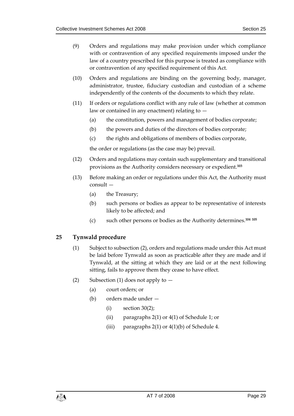- (9) Orders and regulations may make provision under which compliance with or contravention of any specified requirements imposed under the law of a country prescribed for this purpose is treated as compliance with or contravention of any specified requirement of this Act.
- (10) Orders and regulations are binding on the governing body, manager, administrator, trustee, fiduciary custodian and custodian of a scheme independently of the contents of the documents to which they relate.
- (11) If orders or regulations conflict with any rule of law (whether at common law or contained in any enactment) relating to —
	- (a) the constitution, powers and management of bodies corporate;
	- (b) the powers and duties of the directors of bodies corporate;
	- (c) the rights and obligations of members of bodies corporate,

the order or regulations (as the case may be) prevail.

- (12) Orders and regulations may contain such supplementary and transitional provisions as the Authority considers necessary or expedient.**<sup>103</sup>**
- (13) Before making an order or regulations under this Act, the Authority must consult —
	- (a) the Treasury;
	- (b) such persons or bodies as appear to be representative of interests likely to be affected; and
	- (c) such other persons or bodies as the Authority determines.**<sup>104</sup> <sup>105</sup>**

#### <span id="page-28-0"></span>**25 Tynwald procedure**

- (1) Subject to subsection (2), orders and regulations made under this Act must be laid before Tynwald as soon as practicable after they are made and if Tynwald, at the sitting at which they are laid or at the next following sitting, fails to approve them they cease to have effect.
- (2) Subsection (1) does not apply to  $-$ 
	- (a) court orders; or
	- (b) orders made under
		- $(i)$  section 30(2);
		- (ii) paragraphs 2(1) or 4(1) of Schedule 1; or
		- (iii) paragraphs  $2(1)$  or  $4(1)(b)$  of Schedule 4.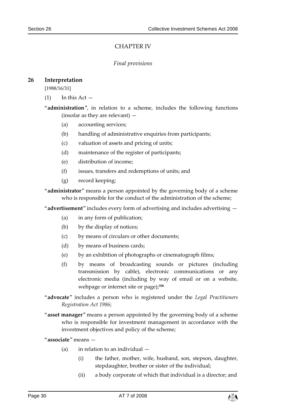#### CHAPTER IV

#### *Final provisions*

#### <span id="page-29-2"></span><span id="page-29-1"></span><span id="page-29-0"></span>**26 Interpretation**

[1988/16/31]

 $(1)$  In this Act  $-$ 

"**administration**", in relation to a scheme, includes the following functions (insofar as they are relevant) —

- (a) accounting services;
- (b) handling of administrative enquiries from participants;
- (c) valuation of assets and pricing of units;
- (d) maintenance of the register of participants;
- (e) distribution of income;
- (f) issues, transfers and redemptions of units; and
- (g) record keeping;
- "**administrator**" means a person appointed by the governing body of a scheme who is responsible for the conduct of the administration of the scheme;

"**advertisement**" includes every form of advertising and includes advertising —

- (a) in any form of publication;
- (b) by the display of notices;
- (c) by means of circulars or other documents;
- (d) by means of business cards;
- (e) by an exhibition of photographs or cinematograph films;
- (f) by means of broadcasting sounds or pictures (including transmission by cable), electronic communications or any electronic media (including by way of email or on a website, webpage or internet site or page);**<sup>106</sup>**
- "**advocate**" includes a person who is registered under the *Legal Practitioners Registration Act 1986*;
- "**asset manager**" means a person appointed by the governing body of a scheme who is responsible for investment management in accordance with the investment objectives and policy of the scheme;

"**associate**" means —

- (a) in relation to an individual
	- (i) the father, mother, wife, husband, son, stepson, daughter, stepdaughter, brother or sister of the individual;
	- (ii) a body corporate of which that individual is a director; and

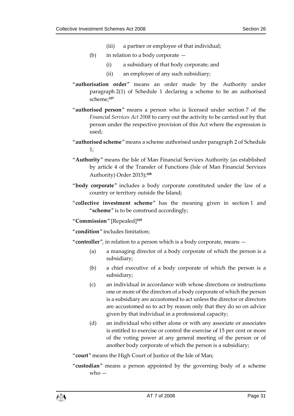- (iii) a partner or employee of that individual;
- (b) in relation to a body corporate
	- (i) a subsidiary of that body corporate; and
	- (ii) an employee of any such subsidiary;
- "**authorisation order**" means an order made by the Authority under paragraph 2(1) of Schedule 1 declaring a scheme to be an authorised scheme;**<sup>107</sup>**
- "**authorised person**" means a person who is licensed under section 7 of the *Financial Services Act 2008* to carry out the activity to be carried out by that person under the respective provision of this Act where the expression is used;
- "**authorised scheme**" means a scheme authorised under paragraph 2 of Schedule 1;
- "**Authority**" means the Isle of Man Financial Services Authority (as established by article 4 of the Transfer of Functions (Isle of Man Financial Services Authority) Order 2015);**<sup>108</sup>**
- "**body corporate**" includes a body corporate constituted under the law of a country or territory outside the Island;
- "**collective investment scheme**" has the meaning given in section 1 and "**scheme**" is to be construed accordingly;

"**Commission**" [Repealed]**<sup>109</sup>**

"**condition**" includes limitation;

"**controller**", in relation to a person which is a body corporate, means —

- (a) a managing director of a body corporate of which the person is a subsidiary;
- (b) a chief executive of a body corporate of which the person is a subsidiary;
- (c) an individual in accordance with whose directions or instructions one or more of the directors of a body corporate of which the person is a subsidiary are accustomed to act unless the director or directors are accustomed so to act by reason only that they do so on advice given by that individual in a professional capacity;
- (d) an individual who either alone or with any associate or associates is entitled to exercise or control the exercise of 15 per cent or more of the voting power at any general meeting of the person or of another body corporate of which the person is a subsidiary;

"**court**" means the High Court of Justice of the Isle of Man;

"**custodian**" means a person appointed by the governing body of a scheme who  $-$ 

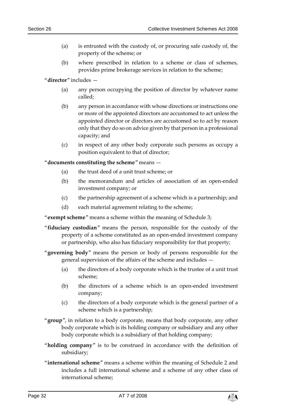- (a) is entrusted with the custody of, or procuring safe custody of, the property of the scheme; or
- (b) where prescribed in relation to a scheme or class of schemes, provides prime brokerage services in relation to the scheme;

"**director**" includes —

- (a) any person occupying the position of director by whatever name called;
- (b) any person in accordance with whose directions or instructions one or more of the appointed directors are accustomed to act unless the appointed director or directors are accustomed so to act by reason only that they do so on advice given by that person in a professional capacity; and
- (c) in respect of any other body corporate such persons as occupy a position equivalent to that of director;

"**documents constituting the scheme**" means —

- (a) the trust deed of a unit trust scheme; or
- (b) the memorandum and articles of association of an open-ended investment company; or
- (c) the partnership agreement of a scheme which is a partnership; and
- (d) each material agreement relating to the scheme;

"**exempt scheme**" means a scheme within the meaning of Schedule 3;

- "**fiduciary custodian**" means the person, responsible for the custody of the property of a scheme constituted as an open-ended investment company or partnership, who also has fiduciary responsibility for that property;
- "**governing body**" means the person or body of persons responsible for the general supervision of the affairs of the scheme and includes —
	- (a) the directors of a body corporate which is the trustee of a unit trust scheme;
	- (b) the directors of a scheme which is an open-ended investment company;
	- (c) the directors of a body corporate which is the general partner of a scheme which is a partnership;
- "**group**", in relation to a body corporate, means that body corporate, any other body corporate which is its holding company or subsidiary and any other body corporate which is a subsidiary of that holding company;
- "**holding company**" is to be construed in accordance with the definition of subsidiary;
- "**international scheme**" means a scheme within the meaning of Schedule 2 and includes a full international scheme and a scheme of any other class of international scheme;

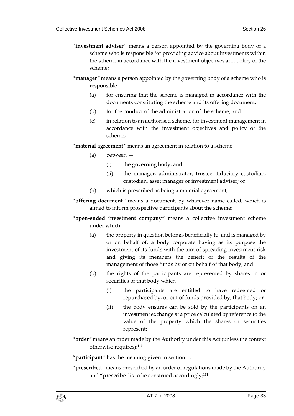- "**investment adviser**" means a person appointed by the governing body of a scheme who is responsible for providing advice about investments within the scheme in accordance with the investment objectives and policy of the scheme;
- "**manager**" means a person appointed by the governing body of a scheme who is responsible —
	- (a) for ensuring that the scheme is managed in accordance with the documents constituting the scheme and its offering document;
	- (b) for the conduct of the administration of the scheme; and
	- (c) in relation to an authorised scheme, for investment management in accordance with the investment objectives and policy of the scheme;

"**material agreement**" means an agreement in relation to a scheme —

- (a) between
	- (i) the governing body; and
	- (ii) the manager, administrator, trustee, fiduciary custodian, custodian, asset manager or investment adviser; or
- (b) which is prescribed as being a material agreement;
- "**offering document**" means a document, by whatever name called, which is aimed to inform prospective participants about the scheme;
- "**open-ended investment company**" means a collective investment scheme under which —
	- (a) the property in question belongs beneficially to, and is managed by or on behalf of, a body corporate having as its purpose the investment of its funds with the aim of spreading investment risk and giving its members the benefit of the results of the management of those funds by or on behalf of that body; and
	- (b) the rights of the participants are represented by shares in or securities of that body which —
		- (i) the participants are entitled to have redeemed or repurchased by, or out of funds provided by, that body; or
		- (ii) the body ensures can be sold by the participants on an investment exchange at a price calculated by reference to the value of the property which the shares or securities represent;
- "**order**" means an order made by the Authority under this Act (unless the context otherwise requires);**<sup>110</sup>**

"**participant**" has the meaning given in section 1;

"**prescribed**" means prescribed by an order or regulations made by the Authority and "**prescribe**" is to be construed accordingly;**111**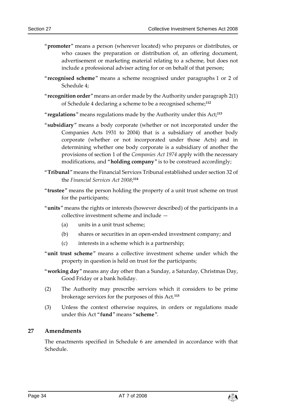- "**promoter**" means a person (wherever located) who prepares or distributes, or who causes the preparation or distribution of, an offering document, advertisement or marketing material relating to a scheme, but does not include a professional adviser acting for or on behalf of that person;
- "**recognised scheme**" means a scheme recognised under paragraphs 1 or 2 of Schedule 4;
- "**recognition order**" means an order made by the Authority under paragraph 2(1) of Schedule 4 declaring a scheme to be a recognised scheme;**<sup>112</sup>**
- "**regulations**" means regulations made by the Authority under this Act;**<sup>113</sup>**
- "**subsidiary**" means a body corporate (whether or not incorporated under the Companies Acts 1931 to 2004) that is a subsidiary of another body corporate (whether or not incorporated under those Acts) and in determining whether one body corporate is a subsidiary of another the provisions of section 1 of the *Companies Act 1974* apply with the necessary modifications, and "**holding company**" is to be construed accordingly;
- "**Tribunal**" means the Financial Services Tribunal established under section 32 of the *Financial Services Act 2008*; **114**
- "**trustee**" means the person holding the property of a unit trust scheme on trust for the participants;
- "**units**" means the rights or interests (however described) of the participants in a collective investment scheme and include —
	- (a) units in a unit trust scheme;
	- (b) shares or securities in an open-ended investment company; and
	- (c) interests in a scheme which is a partnership;
- "**unit trust scheme**" means a collective investment scheme under which the property in question is held on trust for the participants;
- "**working day**" means any day other than a Sunday, a Saturday, Christmas Day, Good Friday or a bank holiday.
- (2) The Authority may prescribe services which it considers to be prime brokerage services for the purposes of this Act.**<sup>115</sup>**
- (3) Unless the context otherwise requires, in orders or regulations made under this Act "**fund**" means "**scheme**".

#### <span id="page-33-0"></span>**27 Amendments**

The enactments specified in Schedule 6 are amended in accordance with that Schedule.

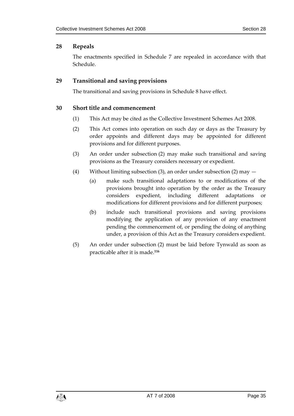#### <span id="page-34-0"></span>**28 Repeals**

The enactments specified in Schedule 7 are repealed in accordance with that Schedule.

#### <span id="page-34-1"></span>**29 Transitional and saving provisions**

The transitional and saving provisions in Schedule 8 have effect.

#### <span id="page-34-2"></span>**30 Short title and commencement**

- (1) This Act may be cited as the Collective Investment Schemes Act 2008.
- (2) This Act comes into operation on such day or days as the Treasury by order appoints and different days may be appointed for different provisions and for different purposes.
- (3) An order under subsection (2) may make such transitional and saving provisions as the Treasury considers necessary or expedient.
- (4) Without limiting subsection (3), an order under subsection (2) may
	- (a) make such transitional adaptations to or modifications of the provisions brought into operation by the order as the Treasury considers expedient, including different adaptations or modifications for different provisions and for different purposes;
	- (b) include such transitional provisions and saving provisions modifying the application of any provision of any enactment pending the commencement of, or pending the doing of anything under, a provision of this Act as the Treasury considers expedient.
- (5) An order under subsection (2) must be laid before Tynwald as soon as practicable after it is made.**116**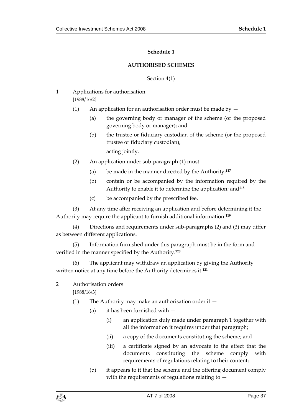#### **Schedule 1**

#### **AUTHORISED SCHEMES**

#### Section 4(1)

- <span id="page-36-1"></span><span id="page-36-0"></span>1 Applications for authorisation [1988/16/2]
	- (1) An application for an authorisation order must be made by  $-$ 
		- (a) the governing body or manager of the scheme (or the proposed governing body or manager); and
		- (b) the trustee or fiduciary custodian of the scheme (or the proposed trustee or fiduciary custodian), acting jointly.
	- (2) An application under sub-paragraph (1) must
		- (a) be made in the manner directed by the Authority; **117**
		- (b) contain or be accompanied by the information required by the Authority to enable it to determine the application; and**<sup>118</sup>**
		- (c) be accompanied by the prescribed fee.

(3) At any time after receiving an application and before determining it the Authority may require the applicant to furnish additional information.**<sup>119</sup>**

(4) Directions and requirements under sub-paragraphs (2) and (3) may differ as between different applications.

(5) Information furnished under this paragraph must be in the form and verified in the manner specified by the Authority. **120**

(6) The applicant may withdraw an application by giving the Authority written notice at any time before the Authority determines it.**<sup>121</sup>**

2 Authorisation orders

[1988/16/3]

- (1) The Authority may make an authorisation order if  $-$ 
	- (a) it has been furnished with
		- (i) an application duly made under paragraph 1 together with all the information it requires under that paragraph;
		- (ii) a copy of the documents constituting the scheme; and
		- (iii) a certificate signed by an advocate to the effect that the documents constituting the scheme comply with requirements of regulations relating to their content;
	- (b) it appears to it that the scheme and the offering document comply with the requirements of regulations relating to  $-$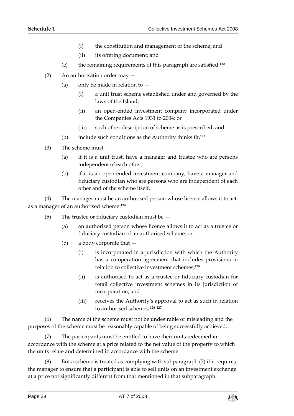- (i) the constitution and management of the scheme; and
- (ii) its offering document; and
- (c) the remaining requirements of this paragraph are satisfied.**<sup>122</sup>**
- (2) An authorisation order may
	- (a) only be made in relation to  $-$ 
		- (i) a unit trust scheme established under and governed by the laws of the Island;
		- (ii) an open-ended investment company incorporated under the Companies Acts 1931 to 2004; or
		- (iii) such other description of scheme as is prescribed; and
	- (b) include such conditions as the Authority thinks fit.**<sup>123</sup>**
- (3) The scheme must
	- (a) if it is a unit trust, have a manager and trustee who are persons independent of each other;
	- (b) if it is an open-ended investment company, have a manager and fiduciary custodian who are persons who are independent of each other and of the scheme itself.

(4) The manager must be an authorised person whose licence allows it to act as a manager of an authorised scheme. **124**

- (5) The trustee or fiduciary custodian must be
	- (a) an authorised person whose licence allows it to act as a trustee or fiduciary custodian of an authorised scheme; or
	- (b) a body corporate that
		- (i) is incorporated in a jurisdiction with which the Authority has a co-operation agreement that includes provisions in relation to collective investment schemes;**<sup>125</sup>**
		- (ii) is authorised to act as a trustee or fiduciary custodian for retail collective investment schemes in its jurisdiction of incorporation; and
		- (iii) receives the Authority's approval to act as such in relation to authorised schemes.**<sup>126</sup> <sup>127</sup>**

(6) The name of the scheme must not be undesirable or misleading and the purposes of the scheme must be reasonably capable of being successfully achieved.

(7) The participants must be entitled to have their units redeemed in accordance with the scheme at a price related to the net value of the property to which the units relate and determined in accordance with the scheme.

But a scheme is treated as complying with subparagraph (7) if it requires the manager to ensure that a participant is able to sell units on an investment exchange at a price not significantly different from that mentioned in that subparagraph.

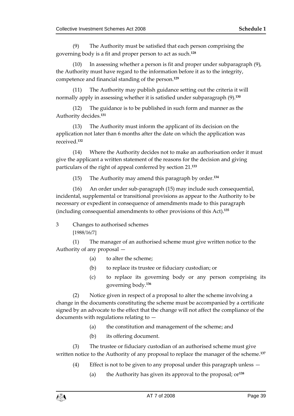(9) The Authority must be satisfied that each person comprising the governing body is a fit and proper person to act as such.**<sup>128</sup>**

(10) In assessing whether a person is fit and proper under subparagraph (9), the Authority must have regard to the information before it as to the integrity, competence and financial standing of the person.**<sup>129</sup>**

(11) The Authority may publish guidance setting out the criteria it will normally apply in assessing whether it is satisfied under subparagraph (9).**<sup>130</sup>**

(12) The guidance is to be published in such form and manner as the Authority decides.**<sup>131</sup>**

(13) The Authority must inform the applicant of its decision on the application not later than 6 months after the date on which the application was received.**<sup>132</sup>**

(14) Where the Authority decides not to make an authorisation order it must give the applicant a written statement of the reasons for the decision and giving particulars of the right of appeal conferred by section 21.**<sup>133</sup>**

(15) The Authority may amend this paragraph by order.**<sup>134</sup>**

(16) An order under sub-paragraph (15) may include such consequential, incidental, supplemental or transitional provisions as appear to the Authority to be necessary or expedient in consequence of amendments made to this paragraph (including consequential amendments to other provisions of this Act).**<sup>135</sup>**

3 Changes to authorised schemes [1988/16/7]

(1) The manager of an authorised scheme must give written notice to the Authority of any proposal —

- (a) to alter the scheme;
- (b) to replace its trustee or fiduciary custodian; or
- (c) to replace its governing body or any person comprising its governing body.**<sup>136</sup>**

(2) Notice given in respect of a proposal to alter the scheme involving a change in the documents constituting the scheme must be accompanied by a certificate signed by an advocate to the effect that the change will not affect the compliance of the documents with regulations relating to  $-$ 

- (a) the constitution and management of the scheme; and
- (b) its offering document.

(3) The trustee or fiduciary custodian of an authorised scheme must give written notice to the Authority of any proposal to replace the manager of the scheme.**<sup>137</sup>**

- (4) Effect is not to be given to any proposal under this paragraph unless
	- (a) the Authority has given its approval to the proposal; or**<sup>138</sup>**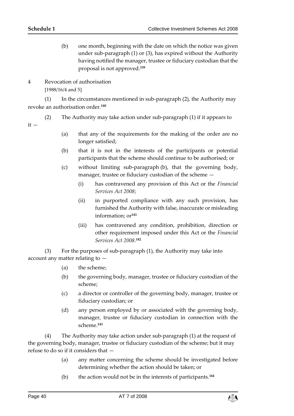it —

- (b) one month, beginning with the date on which the notice was given under sub-paragraph (1) or (3), has expired without the Authority having notified the manager, trustee or fiduciary custodian that the proposal is not approved.**<sup>139</sup>**
- 4 Revocation of authorisation [1988/16/4 and 5]

(1) In the circumstances mentioned in sub-paragraph (2), the Authority may revoke an authorisation order.**<sup>140</sup>**

- (2) The Authority may take action under sub-paragraph (1) if it appears to
	- (a) that any of the requirements for the making of the order are no longer satisfied;
	- (b) that it is not in the interests of the participants or potential participants that the scheme should continue to be authorised; or
	- (c) without limiting sub-paragraph (b), that the governing body, manager, trustee or fiduciary custodian of the scheme —
		- (i) has contravened any provision of this Act or the *Financial Services Act 2008*;
		- (ii) in purported compliance with any such provision, has furnished the Authority with false, inaccurate or misleading information; or**<sup>141</sup>**
		- (iii) has contravened any condition, prohibition, direction or other requirement imposed under this Act or the *Financial Services Act 2008*. **142**

(3) For the purposes of sub-paragraph (1), the Authority may take into account any matter relating to —

- (a) the scheme;
- (b) the governing body, manager, trustee or fiduciary custodian of the scheme;
- (c) a director or controller of the governing body, manager, trustee or fiduciary custodian; or
- (d) any person employed by or associated with the governing body, manager, trustee or fiduciary custodian in connection with the scheme.**<sup>143</sup>**

(4) The Authority may take action under sub-paragraph (1) at the request of the governing body, manager, trustee or fiduciary custodian of the scheme; but it may refuse to do so if it considers that —

- (a) any matter concerning the scheme should be investigated before determining whether the action should be taken; or
- (b) the action would not be in the interests of participants.**<sup>144</sup>**

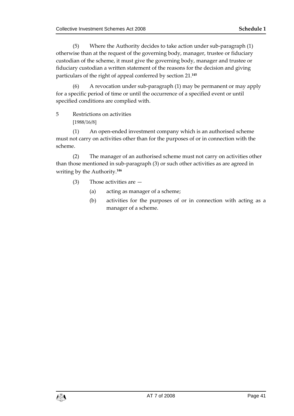(5) Where the Authority decides to take action under sub-paragraph (1) otherwise than at the request of the governing body, manager, trustee or fiduciary custodian of the scheme, it must give the governing body, manager and trustee or fiduciary custodian a written statement of the reasons for the decision and giving particulars of the right of appeal conferred by section 21.**<sup>145</sup>**

(6) A revocation under sub-paragraph (1) may be permanent or may apply for a specific period of time or until the occurrence of a specified event or until specified conditions are complied with.

5 Restrictions on activities [1988/16/8]

(1) An open-ended investment company which is an authorised scheme must not carry on activities other than for the purposes of or in connection with the scheme.

(2) The manager of an authorised scheme must not carry on activities other than those mentioned in sub-paragraph (3) or such other activities as are agreed in writing by the Authority. **146**

- (3) Those activities are
	- (a) acting as manager of a scheme;
	- (b) activities for the purposes of or in connection with acting as a manager of a scheme.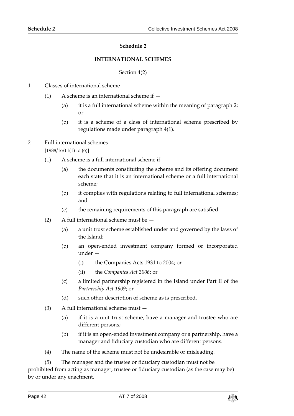#### **Schedule 2**

#### **INTERNATIONAL SCHEMES**

#### Section 4(2)

- <span id="page-41-1"></span><span id="page-41-0"></span>1 Classes of international scheme
	- (1) A scheme is an international scheme if  $-$ 
		- (a) it is a full international scheme within the meaning of paragraph 2; or
		- (b) it is a scheme of a class of international scheme prescribed by regulations made under paragraph 4(1).

#### 2 Full international schemes [1988/16/11(1) to (6)]

- (1) A scheme is a full international scheme if  $-$ 
	- (a) the documents constituting the scheme and its offering document each state that it is an international scheme or a full international scheme;
	- (b) it complies with regulations relating to full international schemes; and
	- (c) the remaining requirements of this paragraph are satisfied.
- (2) A full international scheme must be
	- (a) a unit trust scheme established under and governed by the laws of the Island;
	- (b) an open-ended investment company formed or incorporated under —
		- (i) the Companies Acts 1931 to 2004; or
		- (ii) the *Companies Act 2006*; or
	- (c) a limited partnership registered in the Island under Part II of the *Partnership Act 1909*; or
	- (d) such other description of scheme as is prescribed.
- (3) A full international scheme must
	- (a) if it is a unit trust scheme, have a manager and trustee who are different persons;
	- (b) if it is an open-ended investment company or a partnership, have a manager and fiduciary custodian who are different persons.
- (4) The name of the scheme must not be undesirable or misleading.
- (5) The manager and the trustee or fiduciary custodian must not be

prohibited from acting as manager, trustee or fiduciary custodian (as the case may be) by or under any enactment.

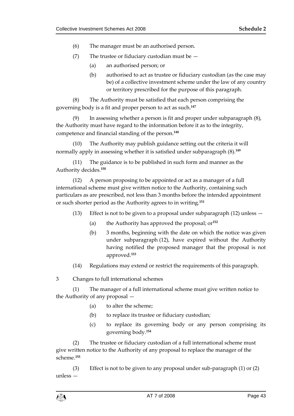- (6) The manager must be an authorised person.
- (7) The trustee or fiduciary custodian must be
	- (a) an authorised person; or
	- (b) authorised to act as trustee or fiduciary custodian (as the case may be) of a collective investment scheme under the law of any country or territory prescribed for the purpose of this paragraph.

(8) The Authority must be satisfied that each person comprising the governing body is a fit and proper person to act as such.**<sup>147</sup>**

(9) In assessing whether a person is fit and proper under subparagraph (8), the Authority must have regard to the information before it as to the integrity, competence and financial standing of the person.**<sup>148</sup>**

(10) The Authority may publish guidance setting out the criteria it will normally apply in assessing whether it is satisfied under subparagraph (8).**<sup>149</sup>**

(11) The guidance is to be published in such form and manner as the Authority decides.**<sup>150</sup>**

(12) A person proposing to be appointed or act as a manager of a full international scheme must give written notice to the Authority, containing such particulars as are prescribed, not less than 3 months before the intended appointment or such shorter period as the Authority agrees to in writing.**<sup>151</sup>**

- (13) Effect is not to be given to a proposal under subparagraph (12) unless
	- (a) the Authority has approved the proposal; or**<sup>152</sup>**
	- (b) 3 months, beginning with the date on which the notice was given under subparagraph (12), have expired without the Authority having notified the proposed manager that the proposal is not approved.**<sup>153</sup>**
- (14) Regulations may extend or restrict the requirements of this paragraph.

3 Changes to full international schemes

(1) The manager of a full international scheme must give written notice to the Authority of any proposal —

- (a) to alter the scheme;
- (b) to replace its trustee or fiduciary custodian;
- (c) to replace its governing body or any person comprising its governing body.**<sup>154</sup>**

(2) The trustee or fiduciary custodian of a full international scheme must give written notice to the Authority of any proposal to replace the manager of the scheme.**<sup>155</sup>**

(3) Effect is not to be given to any proposal under sub-paragraph (1) or (2) unless —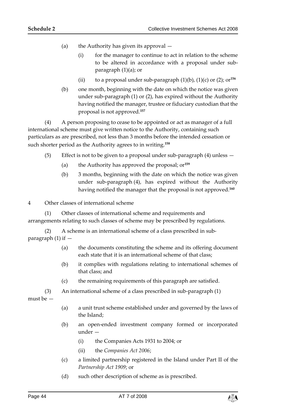- (a) the Authority has given its approval
	- (i) for the manager to continue to act in relation to the scheme to be altered in accordance with a proposal under subparagraph (1)(a); or
	- (ii) to a proposal under sub-paragraph  $(1)(b)$ ,  $(1)(c)$  or  $(2)$ ; or<sup>156</sup>
- (b) one month, beginning with the date on which the notice was given under sub-paragraph (1) or (2), has expired without the Authority having notified the manager, trustee or fiduciary custodian that the proposal is not approved.**<sup>157</sup>**

(4) A person proposing to cease to be appointed or act as manager of a full international scheme must give written notice to the Authority, containing such particulars as are prescribed, not less than 3 months before the intended cessation or such shorter period as the Authority agrees to in writing.**<sup>158</sup>**

- (5) Effect is not to be given to a proposal under sub-paragraph (4) unless
	- (a) the Authority has approved the proposal; or**<sup>159</sup>**
	- (b) 3 months, beginning with the date on which the notice was given under sub-paragraph (4), has expired without the Authority having notified the manager that the proposal is not approved.**<sup>160</sup>**

4 Other classes of international scheme

(1) Other classes of international scheme and requirements and arrangements relating to such classes of scheme may be prescribed by regulations.

(2) A scheme is an international scheme of a class prescribed in subparagraph  $(1)$  if  $-$ 

- (a) the documents constituting the scheme and its offering document each state that it is an international scheme of that class;
- (b) it complies with regulations relating to international schemes of that class; and
- (c) the remaining requirements of this paragraph are satisfied.

(3) An international scheme of a class prescribed in sub-paragraph (1)

must be —

- (a) a unit trust scheme established under and governed by the laws of the Island;
- (b) an open-ended investment company formed or incorporated under —
	- (i) the Companies Acts 1931 to 2004; or
	- (ii) the *Companies Act 2006*;
- (c) a limited partnership registered in the Island under Part II of the *Partnership Act 1909*; or
- (d) such other description of scheme as is prescribed.

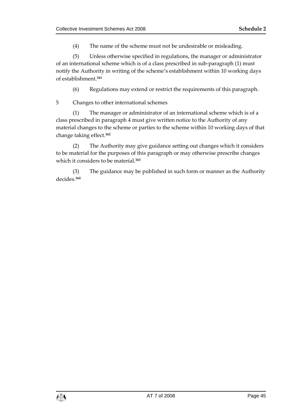(4) The name of the scheme must not be undesirable or misleading.

(5) Unless otherwise specified in regulations, the manager or administrator of an international scheme which is of a class prescribed in sub-paragraph (1) must notify the Authority in writing of the scheme's establishment within 10 working days of establishment.**<sup>161</sup>**

(6) Regulations may extend or restrict the requirements of this paragraph.

5 Changes to other international schemes

(1) The manager or administrator of an international scheme which is of a class prescribed in paragraph 4 must give written notice to the Authority of any material changes to the scheme or parties to the scheme within 10 working days of that change taking effect.**<sup>162</sup>**

(2) The Authority may give guidance setting out changes which it considers to be material for the purposes of this paragraph or may otherwise prescribe changes which it considers to be material.**<sup>163</sup>**

(3) The guidance may be published in such form or manner as the Authority decides.**164**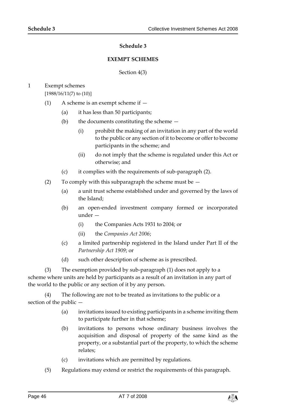#### **Schedule 3**

#### **EXEMPT SCHEMES**

#### Section 4(3)

#### <span id="page-45-1"></span><span id="page-45-0"></span>1 Exempt schemes [1988/16/11(7) to (10)]

- (1) A scheme is an exempt scheme if
	- (a) it has less than 50 participants;
	- (b) the documents constituting the scheme
		- (i) prohibit the making of an invitation in any part of the world to the public or any section of it to become or offer to become participants in the scheme; and
		- (ii) do not imply that the scheme is regulated under this Act or otherwise; and
	- (c) it complies with the requirements of sub-paragraph (2).
- (2) To comply with this subparagraph the scheme must be
	- (a) a unit trust scheme established under and governed by the laws of the Island;
	- (b) an open-ended investment company formed or incorporated under -
		- (i) the Companies Acts 1931 to 2004; or
		- (ii) the *Companies Act 2006*;
	- (c) a limited partnership registered in the Island under Part II of the *Partnership Act 1909*; or
	- (d) such other description of scheme as is prescribed.

(3) The exemption provided by sub-paragraph (1) does not apply to a scheme where units are held by participants as a result of an invitation in any part of the world to the public or any section of it by any person.

(4) The following are not to be treated as invitations to the public or a section of the public —

- (a) invitations issued to existing participants in a scheme inviting them to participate further in that scheme;
- (b) invitations to persons whose ordinary business involves the acquisition and disposal of property of the same kind as the property, or a substantial part of the property, to which the scheme relates;
- (c) invitations which are permitted by regulations.
- (5) Regulations may extend or restrict the requirements of this paragraph.

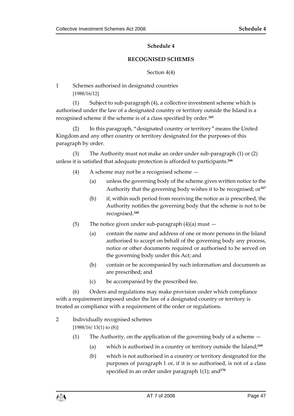#### **Schedule 4**

#### **RECOGNISED SCHEMES**

Section 4(4)

<span id="page-46-1"></span><span id="page-46-0"></span>1 Schemes authorised in designated countries [1988/16/12]

(1) Subject to sub-paragraph (4), a collective investment scheme which is authorised under the law of a designated country or territory outside the Island is a recognised scheme if the scheme is of a class specified by order.**<sup>165</sup>**

(2) In this paragraph, "designated country or territory" means the United Kingdom and any other country or territory designated for the purposes of this paragraph by order.

(3) The Authority must not make an order under sub-paragraph (1) or (2) unless it is satisfied that adequate protection is afforded to participants.**<sup>166</sup>**

- (4) A scheme may not be a recognised scheme
	- (a) unless the governing body of the scheme gives written notice to the Authority that the governing body wishes it to be recognised; or**<sup>167</sup>**
	- (b) if, within such period from receiving the notice as is prescribed, the Authority notifies the governing body that the scheme is not to be recognised.**<sup>168</sup>**
- (5) The notice given under sub-paragraph  $(4)(a)$  must  $-$ 
	- (a) contain the name and address of one or more persons in the Island authorised to accept on behalf of the governing body any process, notice or other documents required or authorised to be served on the governing body under this Act; and
	- (b) contain or be accompanied by such information and documents as are prescribed; and
	- (c) be accompanied by the prescribed fee.

(6) Orders and regulations may make provision under which compliance with a requirement imposed under the law of a designated country or territory is treated as compliance with a requirement of the order or regulations.

- 2 Individually recognised schemes [1988/16/ 13(1) to (8)]
	- (1) The Authority, on the application of the governing body of a scheme
		- (a) which is authorised in a country or territory outside the Island;**<sup>169</sup>**
		- (b) which is not authorised in a country or territory designated for the purposes of paragraph 1 or, if it is so authorised, is not of a class specified in an order under paragraph 1(1); and**<sup>170</sup>**

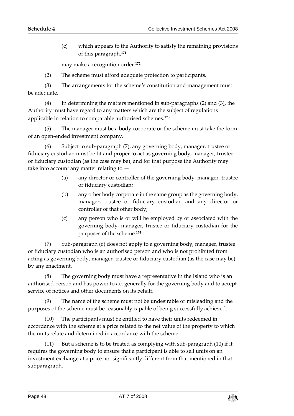(c) which appears to the Authority to satisfy the remaining provisions of this paragraph,**<sup>171</sup>**

may make a recognition order.**<sup>172</sup>**

(2) The scheme must afford adequate protection to participants.

(3) The arrangements for the scheme's constitution and management must be adequate.

(4) In determining the matters mentioned in sub-paragraphs (2) and (3), the Authority must have regard to any matters which are the subject of regulations applicable in relation to comparable authorised schemes.**<sup>173</sup>**

(5) The manager must be a body corporate or the scheme must take the form of an open-ended investment company.

(6) Subject to sub-paragraph (7), any governing body, manager, trustee or fiduciary custodian must be fit and proper to act as governing body, manager, trustee or fiduciary custodian (as the case may be); and for that purpose the Authority may take into account any matter relating to —

- (a) any director or controller of the governing body, manager, trustee or fiduciary custodian;
- (b) any other body corporate in the same group as the governing body, manager, trustee or fiduciary custodian and any director or controller of that other body;
- (c) any person who is or will be employed by or associated with the governing body, manager, trustee or fiduciary custodian for the purposes of the scheme.**<sup>174</sup>**

(7) Sub-paragraph (6) does not apply to a governing body, manager, trustee or fiduciary custodian who is an authorised person and who is not prohibited from acting as governing body, manager, trustee or fiduciary custodian (as the case may be) by any enactment.

(8) The governing body must have a representative in the Island who is an authorised person and has power to act generally for the governing body and to accept service of notices and other documents on its behalf.

(9) The name of the scheme must not be undesirable or misleading and the purposes of the scheme must be reasonably capable of being successfully achieved.

(10) The participants must be entitled to have their units redeemed in accordance with the scheme at a price related to the net value of the property to which the units relate and determined in accordance with the scheme.

(11) But a scheme is to be treated as complying with sub-paragraph (10) if it requires the governing body to ensure that a participant is able to sell units on an investment exchange at a price not significantly different from that mentioned in that subparagraph.

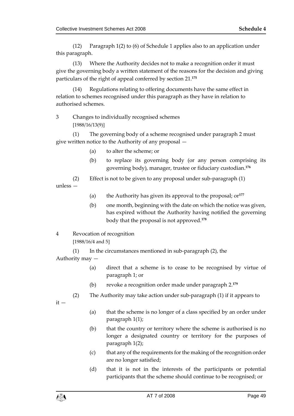(12) Paragraph 1(2) to (6) of Schedule 1 applies also to an application under this paragraph.

(13) Where the Authority decides not to make a recognition order it must give the governing body a written statement of the reasons for the decision and giving particulars of the right of appeal conferred by section 21.**<sup>175</sup>**

(14) Regulations relating to offering documents have the same effect in relation to schemes recognised under this paragraph as they have in relation to authorised schemes.

3 Changes to individually recognised schemes [1988/16/13(9)]

(1) The governing body of a scheme recognised under paragraph 2 must give written notice to the Authority of any proposal —

- (a) to alter the scheme; or
- (b) to replace its governing body (or any person comprising its governing body), manager, trustee or fiduciary custodian.**<sup>176</sup>**

(2) Effect is not to be given to any proposal under sub-paragraph (1)

unless —

- (a) the Authority has given its approval to the proposal; or**<sup>177</sup>**
- (b) one month, beginning with the date on which the notice was given, has expired without the Authority having notified the governing body that the proposal is not approved.**<sup>178</sup>**
- 4 Revocation of recognition

[1988/16/4 and 5]

(1) In the circumstances mentioned in sub-paragraph (2), the Authority may —

- (a) direct that a scheme is to cease to be recognised by virtue of paragraph 1; or
- (b) revoke a recognition order made under paragraph 2.**<sup>179</sup>**
- (2) The Authority may take action under sub-paragraph (1) if it appears to

 $it -$ 

- (a) that the scheme is no longer of a class specified by an order under paragraph 1(1);
- (b) that the country or territory where the scheme is authorised is no longer a designated country or territory for the purposes of paragraph 1(2);
- (c) that any of the requirements for the making of the recognition order are no longer satisfied;
- (d) that it is not in the interests of the participants or potential participants that the scheme should continue to be recognised; or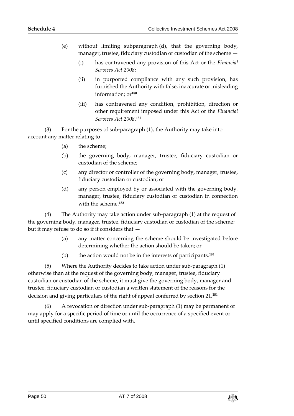- (e) without limiting subparagraph (d), that the governing body, manager, trustee, fiduciary custodian or custodian of the scheme —
	- (i) has contravened any provision of this Act or the *Financial Services Act 2008*;
	- (ii) in purported compliance with any such provision, has furnished the Authority with false, inaccurate or misleading information; or**<sup>180</sup>**
	- (iii) has contravened any condition, prohibition, direction or other requirement imposed under this Act or the *Financial Services Act 2008*. **181**

(3) For the purposes of sub-paragraph (1), the Authority may take into account any matter relating to —

- (a) the scheme;
- (b) the governing body, manager, trustee, fiduciary custodian or custodian of the scheme;
- (c) any director or controller of the governing body, manager, trustee, fiduciary custodian or custodian; or
- (d) any person employed by or associated with the governing body, manager, trustee, fiduciary custodian or custodian in connection with the scheme.**<sup>182</sup>**

(4) The Authority may take action under sub-paragraph (1) at the request of the governing body, manager, trustee, fiduciary custodian or custodian of the scheme; but it may refuse to do so if it considers that —

- (a) any matter concerning the scheme should be investigated before determining whether the action should be taken; or
- (b) the action would not be in the interests of participants.**<sup>183</sup>**

(5) Where the Authority decides to take action under sub-paragraph (1) otherwise than at the request of the governing body, manager, trustee, fiduciary custodian or custodian of the scheme, it must give the governing body, manager and trustee, fiduciary custodian or custodian a written statement of the reasons for the decision and giving particulars of the right of appeal conferred by section 21.**<sup>184</sup>**

(6) A revocation or direction under sub-paragraph (1) may be permanent or may apply for a specific period of time or until the occurrence of a specified event or until specified conditions are complied with.

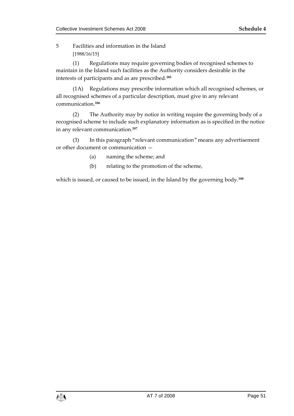5 Facilities and information in the Island [1988/16/15]

(1) Regulations may require governing bodies of recognised schemes to maintain in the Island such facilities as the Authority considers desirable in the interests of participants and as are prescribed.**<sup>185</sup>**

(1A) Regulations may prescribe information which all recognised schemes, or all recognised schemes of a particular description, must give in any relevant communication.**<sup>186</sup>**

(2) The Authority may by notice in writing require the governing body of a recognised scheme to include such explanatory information as is specified in the notice in any relevant communication. **187**

(3) In this paragraph "relevant communication" means any advertisement or other document or communication —

- (a) naming the scheme; and
- (b) relating to the promotion of the scheme,

which is issued, or caused to be issued, in the Island by the governing body.**188**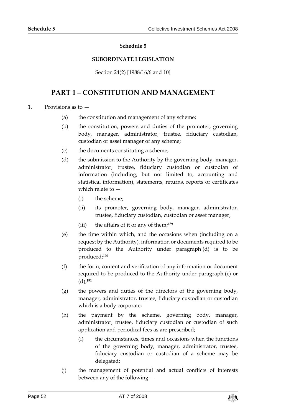#### **Schedule 5**

#### **SUBORDINATE LEGISLATION**

Section 24(2) [1988/16/6 and 10]

## <span id="page-51-1"></span><span id="page-51-0"></span>**PART 1 – CONSTITUTION AND MANAGEMENT**

1. Provisions as to —

- (a) the constitution and management of any scheme;
- (b) the constitution, powers and duties of the promoter, governing body, manager, administrator, trustee, fiduciary custodian, custodian or asset manager of any scheme;
- (c) the documents constituting a scheme;
- (d) the submission to the Authority by the governing body, manager, administrator, trustee, fiduciary custodian or custodian of information (including, but not limited to, accounting and statistical information), statements, returns, reports or certificates which relate to —
	- (i) the scheme;
	- (ii) its promoter, governing body, manager, administrator, trustee, fiduciary custodian, custodian or asset manager;
	- (iii) the affairs of it or any of them;**<sup>189</sup>**
- (e) the time within which, and the occasions when (including on a request by the Authority), information or documents required to be produced to the Authority under paragraph (d) is to be produced;**<sup>190</sup>**
- (f) the form, content and verification of any information or document required to be produced to the Authority under paragraph (c) or (d);**<sup>191</sup>**
- (g) the powers and duties of the directors of the governing body, manager, administrator, trustee, fiduciary custodian or custodian which is a body corporate;
- (h) the payment by the scheme, governing body, manager, administrator, trustee, fiduciary custodian or custodian of such application and periodical fees as are prescribed;
	- (i) the circumstances, times and occasions when the functions of the governing body, manager, administrator, trustee, fiduciary custodian or custodian of a scheme may be delegated;
- (j) the management of potential and actual conflicts of interests between any of the following —

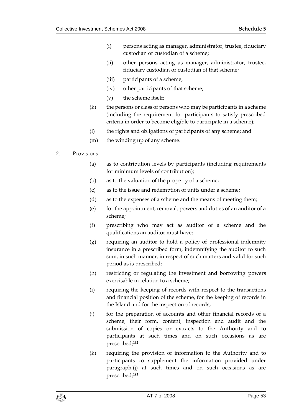- (i) persons acting as manager, administrator, trustee, fiduciary custodian or custodian of a scheme;
- (ii) other persons acting as manager, administrator, trustee, fiduciary custodian or custodian of that scheme;
- (iii) participants of a scheme;
- (iv) other participants of that scheme;
- (v) the scheme itself;
- $(k)$  the persons or class of persons who may be participants in a scheme (including the requirement for participants to satisfy prescribed criteria in order to become eligible to participate in a scheme);
- (l) the rights and obligations of participants of any scheme; and
- (m) the winding up of any scheme.
- 2. Provisions
	- (a) as to contribution levels by participants (including requirements for minimum levels of contribution);
	- (b) as to the valuation of the property of a scheme;
	- (c) as to the issue and redemption of units under a scheme;
	- (d) as to the expenses of a scheme and the means of meeting them;
	- (e) for the appointment, removal, powers and duties of an auditor of a scheme;
	- (f) prescribing who may act as auditor of a scheme and the qualifications an auditor must have;
	- (g) requiring an auditor to hold a policy of professional indemnity insurance in a prescribed form, indemnifying the auditor to such sum, in such manner, in respect of such matters and valid for such period as is prescribed;
	- (h) restricting or regulating the investment and borrowing powers exercisable in relation to a scheme;
	- (i) requiring the keeping of records with respect to the transactions and financial position of the scheme, for the keeping of records in the Island and for the inspection of records;
	- (j) for the preparation of accounts and other financial records of a scheme, their form, content, inspection and audit and the submission of copies or extracts to the Authority and to participants at such times and on such occasions as are prescribed;**<sup>192</sup>**
	- (k) requiring the provision of information to the Authority and to participants to supplement the information provided under paragraph (j) at such times and on such occasions as are prescribed;**193**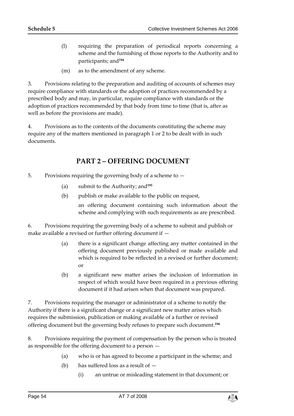- (l) requiring the preparation of periodical reports concerning a scheme and the furnishing of those reports to the Authority and to participants; and**<sup>194</sup>**
- (m) as to the amendment of any scheme.

3. Provisions relating to the preparation and auditing of accounts of schemes may require compliance with standards or the adoption of practices recommended by a prescribed body and may, in particular, require compliance with standards or the adoption of practices recommended by that body from time to time (that is, after as well as before the provisions are made).

4. Provisions as to the contents of the documents constituting the scheme may require any of the matters mentioned in paragraph 1 or 2 to be dealt with in such documents.

## **PART 2 – OFFERING DOCUMENT**

- 5. Provisions requiring the governing body of a scheme to
	- (a) submit to the Authority; and**<sup>195</sup>**
	- (b) publish or make available to the public on request, an offering document containing such information about the scheme and complying with such requirements as are prescribed.

6. Provisions requiring the governing body of a scheme to submit and publish or make available a revised or further offering document if —

- (a) there is a significant change affecting any matter contained in the offering document previously published or made available and which is required to be reflected in a revised or further document; or
- (b) a significant new matter arises the inclusion of information in respect of which would have been required in a previous offering document if it had arisen when that document was prepared.

7. Provisions requiring the manager or administrator of a scheme to notify the Authority if there is a significant change or a significant new matter arises which requires the submission, publication or making available of a further or revised offering document but the governing body refuses to prepare such document.**<sup>196</sup>**

8. Provisions requiring the payment of compensation by the person who is treated as responsible for the offering document to a person —

- (a) who is or has agreed to become a participant in the scheme; and
- (b) has suffered loss as a result of  $-$ 
	- (i) an untrue or misleading statement in that document; or

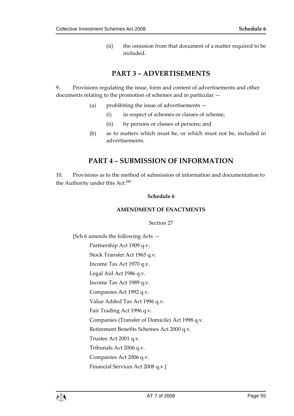(ii) the omission from that document of a matter required to be included.

## **PART 3 – ADVERTISEMENTS**

9. Provisions regulating the issue, form and content of advertisements and other documents relating to the promotion of schemes and in particular —

- (a) prohibiting the issue of advertisements
	- (i) in respect of schemes or classes of scheme;
	- (ii) by persons or classes of persons; and
- (b) as to matters which must be, or which must not be, included in advertisements.

## **PART 4 – SUBMISSION OF INFORMATION**

<span id="page-54-1"></span><span id="page-54-0"></span>10. Provisions as to the method of submission of information and documentation to the Authority under this Act.**<sup>197</sup>**

#### **Schedule 6**

#### **AMENDMENT OF ENACTMENTS**

Section 27

[Sch 6 amends the following Acts —

Partnership Act 1909 q.v.

Stock Transfer Act 1965 q.v.

Income Tax Act 1970 q.v.

Legal Aid Act 1986 q.v.

Income Tax Act 1989 q.v.

Companies Act 1992 q.v.

Value Added Tax Act 1996 q.v.

Fair Trading Act 1996 q.v.

Companies (Transfer of Domicile) Act 1998 q.v.

Retirement Benefits Schemes Act 2000 q.v.

Trustee Act 2001 q.v.

Tribunals Act 2006 q.v.

Companies Act 2006 q.v.

Financial Services Act 2008 q.v.]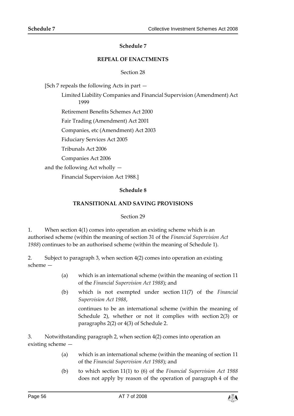#### **Schedule 7**

#### **REPEAL OF ENACTMENTS**

#### Section 28

<span id="page-55-1"></span><span id="page-55-0"></span>[Sch 7 repeals the following Acts in part —

Limited Liability Companies and Financial Supervision (Amendment) Act 1999

Retirement Benefits Schemes Act 2000

Fair Trading (Amendment) Act 2001

Companies, etc (Amendment) Act 2003

Fiduciary Services Act 2005

Tribunals Act 2006

Companies Act 2006

<span id="page-55-2"></span>and the following Act wholly —

Financial Supervision Act 1988.]

#### **Schedule 8**

#### **TRANSITIONAL AND SAVING PROVISIONS**

#### Section 29

<span id="page-55-3"></span>1. When section 4(1) comes into operation an existing scheme which is an authorised scheme (within the meaning of section 31 of the *Financial Supervision Act 1988*) continues to be an authorised scheme (within the meaning of Schedule 1).

2. Subject to paragraph 3, when section 4(2) comes into operation an existing scheme —

- (a) which is an international scheme (within the meaning of section 11 of the *Financial Supervision Act 1988*); and
- (b) which is not exempted under section 11(7) of the *Financial Supervision Act 1988*,

continues to be an international scheme (within the meaning of Schedule 2), whether or not it complies with section 2(3) or paragraphs 2(2) or 4(3) of Schedule 2.

3. Notwithstanding paragraph 2, when section 4(2) comes into operation an existing scheme —

- (a) which is an international scheme (within the meaning of section 11 of the *Financial Supervision Act 1988*); and
- (b) to which section 11(1) to (6) of the *Financial Supervision Act 1988* does not apply by reason of the operation of paragraph 4 of the

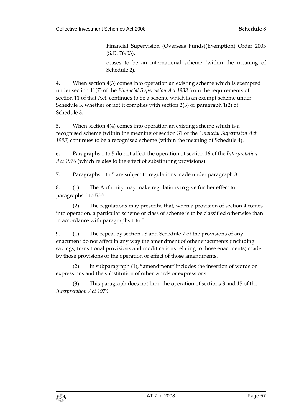Financial Supervision (Overseas Funds)(Exemption) Order 2003 (S.D. 76/03),

ceases to be an international scheme (within the meaning of Schedule 2).

4. When section 4(3) comes into operation an existing scheme which is exempted under section 11(7) of the *Financial Supervision Act 1988* from the requirements of section 11 of that Act, continues to be a scheme which is an exempt scheme under Schedule 3, whether or not it complies with section 2(3) or paragraph 1(2) of Schedule 3.

5. When section 4(4) comes into operation an existing scheme which is a recognised scheme (within the meaning of section 31 of the *Financial Supervision Act 1988*) continues to be a recognised scheme (within the meaning of Schedule 4).

6. Paragraphs 1 to 5 do not affect the operation of section 16 of the *Interpretation Act 1976* (which relates to the effect of substituting provisions).

7. Paragraphs 1 to 5 are subject to regulations made under paragraph 8.

8. (1) The Authority may make regulations to give further effect to paragraphs 1 to 5.**<sup>198</sup>**

(2) The regulations may prescribe that, when a provision of section 4 comes into operation, a particular scheme or class of scheme is to be classified otherwise than in accordance with paragraphs 1 to 5.

9. (1) The repeal by section 28 and Schedule 7 of the provisions of any enactment do not affect in any way the amendment of other enactments (including savings, transitional provisions and modifications relating to those enactments) made by those provisions or the operation or effect of those amendments.

(2) In subparagraph (1), "amendment" includes the insertion of words or expressions and the substitution of other words or expressions.

(3) This paragraph does not limit the operation of sections 3 and 15 of the *Interpretation Act 1976*.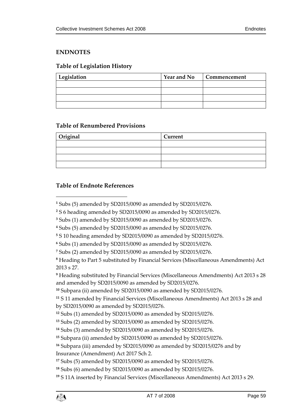#### <span id="page-58-0"></span>**ENDNOTES**

### <span id="page-58-1"></span>**Table of Legislation History**

| Legislation | <b>Year and No</b> | Commencement |
|-------------|--------------------|--------------|
|             |                    |              |
|             |                    |              |
|             |                    |              |
|             |                    |              |

#### <span id="page-58-2"></span>**Table of Renumbered Provisions**

| Original | Current |
|----------|---------|
|          |         |
|          |         |
|          |         |
|          |         |

#### <span id="page-58-3"></span>**Table of Endnote References**

 $\overline{a}$ 

**<sup>9</sup>** Heading substituted by Financial Services (Miscellaneous Amendments) Act 2013 s 28 and amended by SD2015/0090 as amended by SD2015/0276.

```
10 Subpara (ii) amended by SD2015/0090 as amended by SD2015/0276.
```
**<sup>11</sup>** S 11 amended by Financial Services (Miscellaneous Amendments) Act 2013 s 28 and by SD2015/0090 as amended by SD2015/0276.

```
12 Subs (1) amended by SD2015/0090 as amended by SD2015/0276.
```
**<sup>13</sup>** Subs (2) amended by SD2015/0090 as amended by SD2015/0276.

```
14 Subs (3) amended by SD2015/0090 as amended by SD2015/0276.
```
**<sup>15</sup>** Subpara (ii) amended by SD2015/0090 as amended by SD2015/0276.

**<sup>16</sup>** Subpara (iii) amended by SD2015/0090 as amended by SD2015/0276 and by

Insurance (Amendment) Act 2017 Sch 2.

**<sup>17</sup>** Subs (5) amended by SD2015/0090 as amended by SD2015/0276.

**<sup>18</sup>** Subs (6) amended by SD2015/0090 as amended by SD2015/0276.

**<sup>19</sup>** S 11A inserted by Financial Services (Miscellaneous Amendments) Act 2013 s 29.

**<sup>1</sup>** Subs (5) amended by SD2015/0090 as amended by SD2015/0276.

**<sup>2</sup>** S 6 heading amended by SD2015/0090 as amended by SD2015/0276.

**<sup>3</sup>** Subs (1) amended by SD2015/0090 as amended by SD2015/0276.

**<sup>4</sup>** Subs (5) amended by SD2015/0090 as amended by SD2015/0276.

**<sup>5</sup>** S 10 heading amended by SD2015/0090 as amended by SD2015/0276.

**<sup>6</sup>** Subs (1) amended by SD2015/0090 as amended by SD2015/0276.

**<sup>7</sup>** Subs (2) amended by SD2015/0090 as amended by SD2015/0276.

**<sup>8</sup>** Heading to Part 5 substituted by Financial Services (Miscellaneous Amendments) Act 2013 s 27.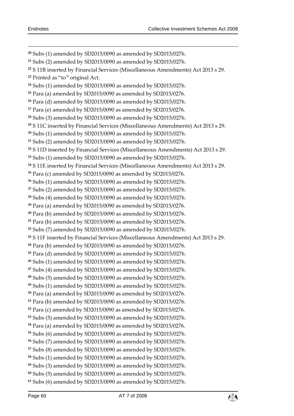Subs (1) amended by SD2015/0090 as amended by SD2015/0276. Subs (2) amended by SD2015/0090 as amended by SD2015/0276. S 11B inserted by Financial Services (Miscellaneous Amendments) Act 2013 s 29. Printed as "to" original Act. Subs (1) amended by SD2015/0090 as amended by SD2015/0276. Para (a) amended by SD2015/0090 as amended by SD2015/0276. Para (d) amended by SD2015/0090 as amended by SD2015/0276. Para (e) amended by SD2015/0090 as amended by SD2015/0276. Subs (3) amended by SD2015/0090 as amended by SD2015/0276. S 11C inserted by Financial Services (Miscellaneous Amendments) Act 2013 s 29. Subs (1) amended by SD2015/0090 as amended by SD2015/0276. Subs (2) amended by SD2015/0090 as amended by SD2015/0276. S 11D inserted by Financial Services (Miscellaneous Amendments) Act 2013 s 29. Subs (1) amended by SD2015/0090 as amended by SD2015/0276. S 11E inserted by Financial Services (Miscellaneous Amendments) Act 2013 s 29. Para (c) amended by SD2015/0090 as amended by SD2015/0276. Subs (1) amended by SD2015/0090 as amended by SD2015/0276. Subs (2) amended by SD2015/0090 as amended by SD2015/0276. Subs (4) amended by SD2015/0090 as amended by SD2015/0276. Para (a) amended by SD2015/0090 as amended by SD2015/0276. Para (b) amended by SD2015/0090 as amended by SD2015/0276. Para (b) amended by SD2015/0090 as amended by SD2015/0276. Subs (7) amended by SD2015/0090 as amended by SD2015/0276. S 11F inserted by Financial Services (Miscellaneous Amendments) Act 2013 s 29. Para (b) amended by SD2015/0090 as amended by SD2015/0276. Para (d) amended by SD2015/0090 as amended by SD2015/0276. Subs (1) amended by SD2015/0090 as amended by SD2015/0276. Subs (4) amended by SD2015/0090 as amended by SD2015/0276. Subs (5) amended by SD2015/0090 as amended by SD2015/0276. Subs (1) amended by SD2015/0090 as amended by SD2015/0276. Para (a) amended by SD2015/0090 as amended by SD2015/0276. Para (b) amended by SD2015/0090 as amended by SD2015/0276. Para (c) amended by SD2015/0090 as amended by SD2015/0276. Subs (5) amended by SD2015/0090 as amended by SD2015/0276. Para (a) amended by SD2015/0090 as amended by SD2015/0276. Subs (6) amended by SD2015/0090 as amended by SD2015/0276. Subs (7) amended by SD2015/0090 as amended by SD2015/0276. Subs (8) amended by SD2015/0090 as amended by SD2015/0276. Subs (1) amended by SD2015/0090 as amended by SD2015/0276. Subs (3) amended by SD2015/0090 as amended by SD2015/0276. Subs (5) amended by SD2015/0090 as amended by SD2015/0276. Subs (6) amended by SD2015/0090 as amended by SD2015/0276.

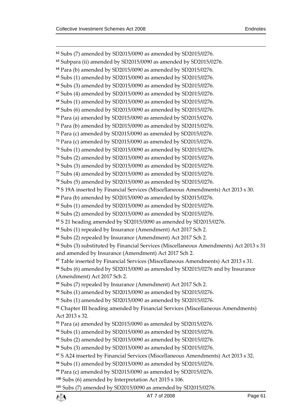$\overline{a}$  Subs (7) amended by SD2015/0090 as amended by SD2015/0276. Subpara (ii) amended by SD2015/0090 as amended by SD2015/0276. Para (b) amended by SD2015/0090 as amended by SD2015/0276. Subs (1) amended by SD2015/0090 as amended by SD2015/0276. Subs (3) amended by SD2015/0090 as amended by SD2015/0276. Subs (4) amended by SD2015/0090 as amended by SD2015/0276. Subs (1) amended by SD2015/0090 as amended by SD2015/0276. Subs (6) amended by SD2015/0090 as amended by SD2015/0276. Para (a) amended by SD2015/0090 as amended by SD2015/0276. Para (b) amended by SD2015/0090 as amended by SD2015/0276. Para (c) amended by SD2015/0090 as amended by SD2015/0276. Para (c) amended by SD2015/0090 as amended by SD2015/0276. Subs (1) amended by SD2015/0090 as amended by SD2015/0276. Subs (2) amended by SD2015/0090 as amended by SD2015/0276. Subs (3) amended by SD2015/0090 as amended by SD2015/0276. Subs (4) amended by SD2015/0090 as amended by SD2015/0276. Subs (5) amended by SD2015/0090 as amended by SD2015/0276. S 19A inserted by Financial Services (Miscellaneous Amendments) Act 2013 s 30. Para (b) amended by SD2015/0090 as amended by SD2015/0276. Subs (1) amended by SD2015/0090 as amended by SD2015/0276. Subs (2) amended by SD2015/0090 as amended by SD2015/0276. S 21 heading amended by SD2015/0090 as amended by SD2015/0276. Subs (1) repealed by Insurance (Amendment) Act 2017 Sch 2. Subs (2) repealed by Insurance (Amendment) Act 2017 Sch 2. Subs (3) substituted by Financial Services (Miscellaneous Amendments) Act 2013 s 31 and amended by Insurance (Amendment) Act 2017 Sch 2. Table inserted by Financial Services (Miscellaneous Amendments) Act 2013 s 31. Subs (6) amended by SD2015/0090 as amended by SD2015/0276 and by Insurance (Amendment) Act 2017 Sch 2. Subs (7) repealed by Insurance (Amendment) Act 2017 Sch 2. Subs (1) amended by SD2015/0090 as amended by SD2015/0276. Subs (1) amended by SD2015/0090 as amended by SD2015/0276. Chapter III heading amended by Financial Services (Miscellaneous Amendments) Act 2013 s 32. Para (a) amended by SD2015/0090 as amended by SD2015/0276. Subs (1) amended by SD2015/0090 as amended by SD2015/0276. Subs (2) amended by SD2015/0090 as amended by SD2015/0276. Subs (3) amended by SD2015/0090 as amended by SD2015/0276. S A24 inserted by Financial Services (Miscellaneous Amendments) Act 2013 s 32. Subs (1) amended by SD2015/0090 as amended by SD2015/0276. Para (c) amended by SD2015/0090 as amended by SD2015/0276. Subs (6) amended by Interpretation Act 2015 s 106. Subs (7) amended by SD2015/0090 as amended by SD2015/0276.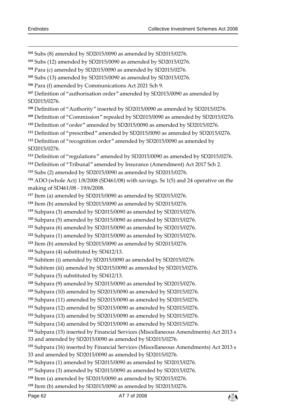Subs (8) amended by SD2015/0090 as amended by SD2015/0276.

Subs (12) amended by SD2015/0090 as amended by SD2015/0276.

Para (c) amended by SD2015/0090 as amended by SD2015/0276.

Subs (13) amended by SD2015/0090 as amended by SD2015/0276.

Para (f) amended by Communications Act 2021 Sch 9.

 Definition of "authorisation order" amended by SD2015/0090 as amended by SD2015/0276.

Definition of "Authority" inserted by SD2015/0090 as amended by SD2015/0276.

Definition of "Commission" repealed by SD2015/0090 as amended by SD2015/0276.

Definition of "order" amended by SD2015/0090 as amended by SD2015/0276.

Definition of "prescribed" amended by SD2015/0090 as amended by SD2015/0276.

 Definition of "recognition order" amended by SD2015/0090 as amended by SD2015/0276.

Definition of "regulations" amended by SD2015/0090 as amended by SD2015/0276.

Definition of "Tribunal" amended by Insurance (Amendment) Act 2017 Sch 2.

Subs (2) amended by SD2015/0090 as amended by SD2015/0276.

 ADO (whole Act) 1/8/2008 (SD461/08) with savings. Ss 1(5) and 24 operative on the making of SD461/08 - 19/6/2008.

Item (a) amended by SD2015/0090 as amended by SD2015/0276.

Item (b) amended by SD2015/0090 as amended by SD2015/0276.

Subpara (3) amended by SD2015/0090 as amended by SD2015/0276.

Subpara (5) amended by SD2015/0090 as amended by SD2015/0276.

Subpara (6) amended by SD2015/0090 as amended by SD2015/0276.

Subpara (1) amended by SD2015/0090 as amended by SD2015/0276.

Item (b) amended by SD2015/0090 as amended by SD2015/0276.

Subpara (4) substituted by SD412/13.

Subitem (i) amended by SD2015/0090 as amended by SD2015/0276.

Subitem (iii) amended by SD2015/0090 as amended by SD2015/0276.

Subpara (5) substituted by SD412/13.

Subpara (9) amended by SD2015/0090 as amended by SD2015/0276.

Subpara (10) amended by SD2015/0090 as amended by SD2015/0276.

Subpara (11) amended by SD2015/0090 as amended by SD2015/0276.

Subpara (12) amended by SD2015/0090 as amended by SD2015/0276.

Subpara (13) amended by SD2015/0090 as amended by SD2015/0276.

Subpara (14) amended by SD2015/0090 as amended by SD2015/0276.

Subpara (15) inserted by Financial Services (Miscellaneous Amendments) Act 2013 s

33 and amended by SD2015/0090 as amended by SD2015/0276.

 Subpara (16) inserted by Financial Services (Miscellaneous Amendments) Act 2013 s 33 and amended by SD2015/0090 as amended by SD2015/0276.

Subpara (1) amended by SD2015/0090 as amended by SD2015/0276.

Subpara (3) amended by SD2015/0090 as amended by SD2015/0276.

Item (a) amended by SD2015/0090 as amended by SD2015/0276.

Item (b) amended by SD2015/0090 as amended by SD2015/0276.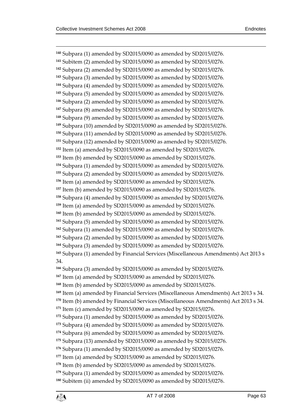$\overline{a}$  Subpara (1) amended by SD2015/0090 as amended by SD2015/0276. Subitem (2) amended by SD2015/0090 as amended by SD2015/0276. Subpara (2) amended by SD2015/0090 as amended by SD2015/0276. Subpara (3) amended by SD2015/0090 as amended by SD2015/0276. Subpara (4) amended by SD2015/0090 as amended by SD2015/0276. Subpara (5) amended by SD2015/0090 as amended by SD2015/0276. Subpara (2) amended by SD2015/0090 as amended by SD2015/0276. Subpara (8) amended by SD2015/0090 as amended by SD2015/0276. Subpara (9) amended by SD2015/0090 as amended by SD2015/0276. Subpara (10) amended by SD2015/0090 as amended by SD2015/0276. Subpara (11) amended by SD2015/0090 as amended by SD2015/0276. Subpara (12) amended by SD2015/0090 as amended by SD2015/0276. Item (a) amended by SD2015/0090 as amended by SD2015/0276. Item (b) amended by SD2015/0090 as amended by SD2015/0276. Subpara (1) amended by SD2015/0090 as amended by SD2015/0276. Subpara (2) amended by SD2015/0090 as amended by SD2015/0276. Item (a) amended by SD2015/0090 as amended by SD2015/0276. Item (b) amended by SD2015/0090 as amended by SD2015/0276. Subpara (4) amended by SD2015/0090 as amended by SD2015/0276. Item (a) amended by SD2015/0090 as amended by SD2015/0276. Item (b) amended by SD2015/0090 as amended by SD2015/0276. Subpara (5) amended by SD2015/0090 as amended by SD2015/0276. Subpara (1) amended by SD2015/0090 as amended by SD2015/0276. Subpara (2) amended by SD2015/0090 as amended by SD2015/0276. Subpara (3) amended by SD2015/0090 as amended by SD2015/0276. Subpara (1) amended by Financial Services (Miscellaneous Amendments) Act 2013 s 34. Subpara (3) amended by SD2015/0090 as amended by SD2015/0276. Item (a) amended by SD2015/0090 as amended by SD2015/0276. Item (b) amended by SD2015/0090 as amended by SD2015/0276. Item (a) amended by Financial Services (Miscellaneous Amendments) Act 2013 s 34. Item (b) amended by Financial Services (Miscellaneous Amendments) Act 2013 s 34. Item (c) amended by SD2015/0090 as amended by SD2015/0276. Subpara (1) amended by SD2015/0090 as amended by SD2015/0276. Subpara (4) amended by SD2015/0090 as amended by SD2015/0276. Subpara (6) amended by SD2015/0090 as amended by SD2015/0276. Subpara (13) amended by SD2015/0090 as amended by SD2015/0276. Subpara (1) amended by SD2015/0090 as amended by SD2015/0276. Item (a) amended by SD2015/0090 as amended by SD2015/0276. Item (b) amended by SD2015/0090 as amended by SD2015/0276. Subpara (1) amended by SD2015/0090 as amended by SD2015/0276. Subitem (ii) amended by SD2015/0090 as amended by SD2015/0276.